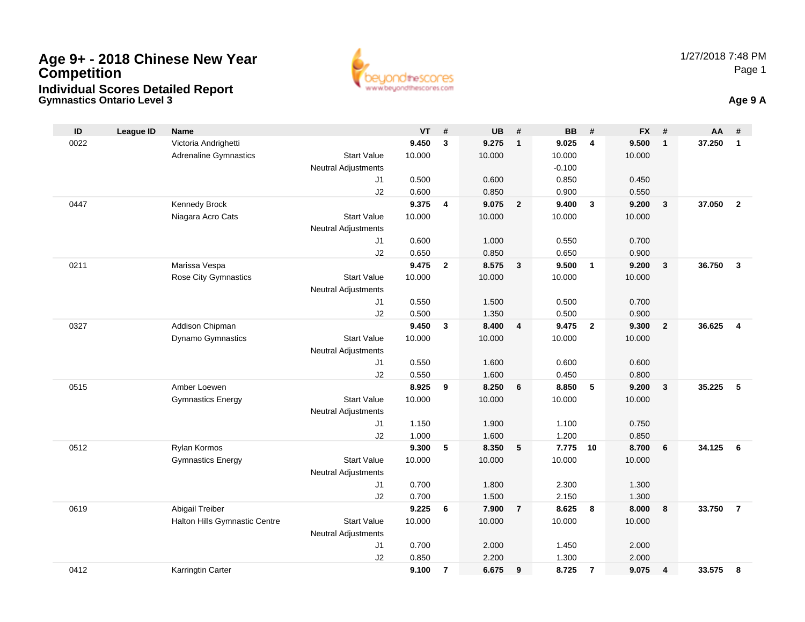

**Gymnastics Ontario Level 3 Age 9 A**

| ID   | <b>League ID</b> | <b>Name</b>                   |                            | VT     | #              | <b>UB</b> | #              | <b>BB</b> | #              | <b>FX</b> | #                       | AA     | #              |
|------|------------------|-------------------------------|----------------------------|--------|----------------|-----------|----------------|-----------|----------------|-----------|-------------------------|--------|----------------|
| 0022 |                  | Victoria Andrighetti          |                            | 9.450  | $\mathbf{3}$   | 9.275     | $\overline{1}$ | 9.025     | $\overline{4}$ | 9.500     | $\mathbf{1}$            | 37.250 | $\mathbf{1}$   |
|      |                  | <b>Adrenaline Gymnastics</b>  | <b>Start Value</b>         | 10.000 |                | 10.000    |                | 10.000    |                | 10.000    |                         |        |                |
|      |                  |                               | <b>Neutral Adjustments</b> |        |                |           |                | $-0.100$  |                |           |                         |        |                |
|      |                  |                               | J1                         | 0.500  |                | 0.600     |                | 0.850     |                | 0.450     |                         |        |                |
|      |                  |                               | J2                         | 0.600  |                | 0.850     |                | 0.900     |                | 0.550     |                         |        |                |
| 0447 |                  | Kennedy Brock                 |                            | 9.375  | 4              | 9.075     | $\overline{2}$ | 9.400     | $\mathbf{3}$   | 9.200     | $\mathbf{3}$            | 37.050 | $\overline{2}$ |
|      |                  | Niagara Acro Cats             | <b>Start Value</b>         | 10.000 |                | 10.000    |                | 10.000    |                | 10.000    |                         |        |                |
|      |                  |                               | <b>Neutral Adjustments</b> |        |                |           |                |           |                |           |                         |        |                |
|      |                  |                               | J1                         | 0.600  |                | 1.000     |                | 0.550     |                | 0.700     |                         |        |                |
|      |                  |                               | J2                         | 0.650  |                | 0.850     |                | 0.650     |                | 0.900     |                         |        |                |
| 0211 |                  | Marissa Vespa                 |                            | 9.475  | $\overline{2}$ | 8.575     | $\mathbf{3}$   | 9.500     | $\overline{1}$ | 9.200     | $\overline{\mathbf{3}}$ | 36.750 | $\mathbf{3}$   |
|      |                  | Rose City Gymnastics          | <b>Start Value</b>         | 10.000 |                | 10.000    |                | 10.000    |                | 10.000    |                         |        |                |
|      |                  |                               | <b>Neutral Adjustments</b> |        |                |           |                |           |                |           |                         |        |                |
|      |                  |                               | J1                         | 0.550  |                | 1.500     |                | 0.500     |                | 0.700     |                         |        |                |
|      |                  |                               | J2                         | 0.500  |                | 1.350     |                | 0.500     |                | 0.900     |                         |        |                |
| 0327 |                  | Addison Chipman               |                            | 9.450  | $\mathbf{3}$   | 8.400     | $\overline{4}$ | 9.475     | $\overline{2}$ | 9.300     | $\overline{2}$          | 36.625 | 4              |
|      |                  | Dynamo Gymnastics             | <b>Start Value</b>         | 10.000 |                | 10.000    |                | 10.000    |                | 10.000    |                         |        |                |
|      |                  |                               | <b>Neutral Adjustments</b> |        |                |           |                |           |                |           |                         |        |                |
|      |                  |                               | J1                         | 0.550  |                | 1.600     |                | 0.600     |                | 0.600     |                         |        |                |
|      |                  |                               | J2                         | 0.550  |                | 1.600     |                | 0.450     |                | 0.800     |                         |        |                |
| 0515 |                  | Amber Loewen                  |                            | 8.925  | 9              | 8.250     | 6              | 8.850     | 5              | 9.200     | $\overline{\mathbf{3}}$ | 35.225 | 5              |
|      |                  | <b>Gymnastics Energy</b>      | <b>Start Value</b>         | 10.000 |                | 10.000    |                | 10.000    |                | 10.000    |                         |        |                |
|      |                  |                               | <b>Neutral Adjustments</b> |        |                |           |                |           |                |           |                         |        |                |
|      |                  |                               | J1                         | 1.150  |                | 1.900     |                | 1.100     |                | 0.750     |                         |        |                |
|      |                  |                               | J2                         | 1.000  |                | 1.600     |                | 1.200     |                | 0.850     |                         |        |                |
| 0512 |                  | Rylan Kormos                  |                            | 9.300  | 5              | 8.350     | 5              | 7.775     | 10             | 8.700     | 6                       | 34.125 | 6              |
|      |                  | <b>Gymnastics Energy</b>      | <b>Start Value</b>         | 10.000 |                | 10.000    |                | 10.000    |                | 10.000    |                         |        |                |
|      |                  |                               | Neutral Adjustments        |        |                |           |                |           |                |           |                         |        |                |
|      |                  |                               | J1                         | 0.700  |                | 1.800     |                | 2.300     |                | 1.300     |                         |        |                |
|      |                  |                               | J2                         | 0.700  |                | 1.500     |                | 2.150     |                | 1.300     |                         |        |                |
| 0619 |                  | Abigail Treiber               |                            | 9.225  | 6              | 7.900     | $\overline{7}$ | 8.625     | 8              | 8.000     | 8                       | 33.750 | $\overline{7}$ |
|      |                  | Halton Hills Gymnastic Centre | <b>Start Value</b>         | 10.000 |                | 10.000    |                | 10.000    |                | 10.000    |                         |        |                |
|      |                  |                               | Neutral Adjustments        |        |                |           |                |           |                |           |                         |        |                |
|      |                  |                               | J1                         | 0.700  |                | 2.000     |                | 1.450     |                | 2.000     |                         |        |                |
|      |                  |                               | J2                         | 0.850  |                | 2.200     |                | 1.300     |                | 2.000     |                         |        |                |
| 0412 |                  | Karringtin Carter             |                            | 9.100  | $\overline{7}$ | 6.675     | 9              | 8.725     | $\overline{7}$ | 9.075     | $\overline{4}$          | 33.575 | 8              |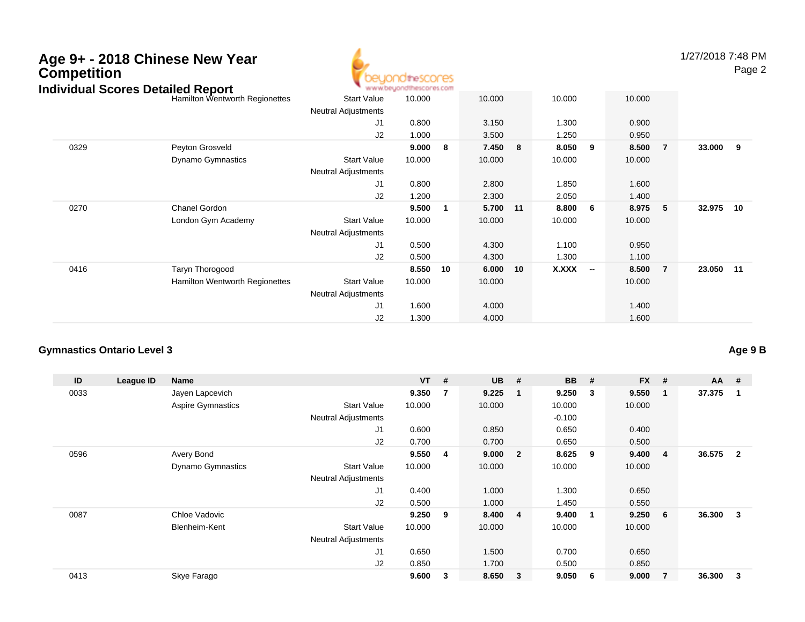

1/27/2018 7:48 PM

Page 2

| ndividual Scores Detalled Report |                                |                            | M.M.M.DB/JOUQILIBROULB2.COM |    |        |    |              |                          |        |                |           |  |
|----------------------------------|--------------------------------|----------------------------|-----------------------------|----|--------|----|--------------|--------------------------|--------|----------------|-----------|--|
|                                  | Hamilton Wentworth Regionettes | <b>Start Value</b>         | 10.000                      |    | 10.000 |    | 10.000       |                          | 10.000 |                |           |  |
|                                  |                                | Neutral Adjustments        |                             |    |        |    |              |                          |        |                |           |  |
|                                  |                                | J1                         | 0.800                       |    | 3.150  |    | 1.300        |                          | 0.900  |                |           |  |
|                                  |                                | J2                         | 1.000                       |    | 3.500  |    | 1.250        |                          | 0.950  |                |           |  |
| 0329                             | Peyton Grosveld                |                            | 9.000                       | -8 | 7.450  | 8  | 8.050        | 9                        | 8.500  | $\overline{7}$ | 33.000 9  |  |
|                                  | <b>Dynamo Gymnastics</b>       | <b>Start Value</b>         | 10.000                      |    | 10.000 |    | 10.000       |                          | 10.000 |                |           |  |
|                                  |                                | <b>Neutral Adjustments</b> |                             |    |        |    |              |                          |        |                |           |  |
|                                  |                                | J1                         | 0.800                       |    | 2.800  |    | 1.850        |                          | 1.600  |                |           |  |
|                                  |                                | J <sub>2</sub>             | 1.200                       |    | 2.300  |    | 2.050        |                          | 1.400  |                |           |  |
| 0270                             | Chanel Gordon                  |                            | 9.500                       | -1 | 5.700  | 11 | 8.800        | 6                        | 8.975  | 5              | 32.975 10 |  |
|                                  | London Gym Academy             | <b>Start Value</b>         | 10.000                      |    | 10.000 |    | 10.000       |                          | 10.000 |                |           |  |
|                                  |                                | <b>Neutral Adjustments</b> |                             |    |        |    |              |                          |        |                |           |  |
|                                  |                                | J1                         | 0.500                       |    | 4.300  |    | 1.100        |                          | 0.950  |                |           |  |
|                                  |                                | J <sub>2</sub>             | 0.500                       |    | 4.300  |    | 1.300        |                          | 1.100  |                |           |  |
| 0416                             | Taryn Thorogood                |                            | 8.550                       | 10 | 6.000  | 10 | <b>X.XXX</b> | $\overline{\phantom{a}}$ | 8.500  | $\overline{7}$ | 23.050 11 |  |
|                                  | Hamilton Wentworth Regionettes | <b>Start Value</b>         | 10.000                      |    | 10.000 |    |              |                          | 10.000 |                |           |  |
|                                  |                                | <b>Neutral Adjustments</b> |                             |    |        |    |              |                          |        |                |           |  |
|                                  |                                | J1                         | 1.600                       |    | 4.000  |    |              |                          | 1.400  |                |           |  |
|                                  |                                | J <sub>2</sub>             | 1.300                       |    | 4.000  |    |              |                          | 1.600  |                |           |  |

### **Gymnastics Ontario Level 3**

| ID   | League ID | <b>Name</b>              |                            | <b>VT</b> | # | <b>UB</b> | #                       | <b>BB</b> | #                       | <b>FX</b> | #              | $AA$ # |                |
|------|-----------|--------------------------|----------------------------|-----------|---|-----------|-------------------------|-----------|-------------------------|-----------|----------------|--------|----------------|
| 0033 |           | Jayen Lapcevich          |                            | 9.350     | 7 | 9.225     | - 1                     | 9.250     | 3                       | 9.550     | 1              | 37.375 |                |
|      |           | <b>Aspire Gymnastics</b> | <b>Start Value</b>         | 10.000    |   | 10.000    |                         | 10.000    |                         | 10.000    |                |        |                |
|      |           |                          | <b>Neutral Adjustments</b> |           |   |           |                         | $-0.100$  |                         |           |                |        |                |
|      |           |                          | J1                         | 0.600     |   | 0.850     |                         | 0.650     |                         | 0.400     |                |        |                |
|      |           |                          | J2                         | 0.700     |   | 0.700     |                         | 0.650     |                         | 0.500     |                |        |                |
| 0596 |           | Avery Bond               |                            | 9.550     | 4 | 9.000     | $\overline{\mathbf{2}}$ | 8.625     | 9                       | 9.400     | 4              | 36.575 | $\overline{2}$ |
|      |           | <b>Dynamo Gymnastics</b> | <b>Start Value</b>         | 10.000    |   | 10.000    |                         | 10.000    |                         | 10.000    |                |        |                |
|      |           |                          | <b>Neutral Adjustments</b> |           |   |           |                         |           |                         |           |                |        |                |
|      |           |                          | J <sub>1</sub>             | 0.400     |   | 1.000     |                         | 1.300     |                         | 0.650     |                |        |                |
|      |           |                          | J <sub>2</sub>             | 0.500     |   | 1.000     |                         | 1.450     |                         | 0.550     |                |        |                |
| 0087 |           | Chloe Vadovic            |                            | 9.250     | 9 | 8.400     | $\overline{4}$          | 9.400     | $\overline{\mathbf{1}}$ | 9.250     | 6              | 36.300 | 3              |
|      |           | Blenheim-Kent            | <b>Start Value</b>         | 10.000    |   | 10.000    |                         | 10.000    |                         | 10.000    |                |        |                |
|      |           |                          | <b>Neutral Adjustments</b> |           |   |           |                         |           |                         |           |                |        |                |
|      |           |                          | J <sub>1</sub>             | 0.650     |   | 1.500     |                         | 0.700     |                         | 0.650     |                |        |                |
|      |           |                          | J <sub>2</sub>             | 0.850     |   | 1.700     |                         | 0.500     |                         | 0.850     |                |        |                |
| 0413 |           | Skye Farago              |                            | 9.600     | 3 | 8.650     | $\overline{\mathbf{3}}$ | 9.050     | 6                       | 9.000     | $\overline{7}$ | 36.300 | 3              |

**Age 9 B**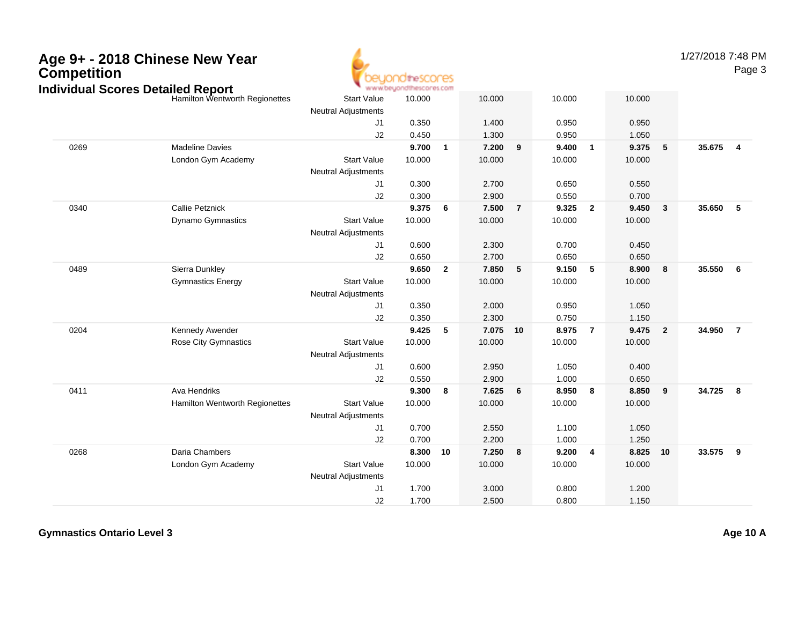

1/27/2018 7:48 PM

Page 3

|      |                                                                    |                                                  | <b>MALACOLAN IN INSPIRATION</b> |                |        |    |        |                |          |                         |        |                |
|------|--------------------------------------------------------------------|--------------------------------------------------|---------------------------------|----------------|--------|----|--------|----------------|----------|-------------------------|--------|----------------|
|      | narviaual Scores Detailed Report<br>Hamilton Wentworth Regionettes | <b>Start Value</b><br><b>Neutral Adjustments</b> | 10.000                          |                | 10.000 |    | 10.000 |                | 10.000   |                         |        |                |
|      |                                                                    | J1                                               | 0.350                           |                | 1.400  |    | 0.950  |                | 0.950    |                         |        |                |
|      |                                                                    | J2                                               | 0.450                           |                | 1.300  |    | 0.950  |                | 1.050    |                         |        |                |
| 0269 | <b>Madeline Davies</b>                                             |                                                  | 9.700                           | $\mathbf{1}$   | 7.200  | 9  | 9.400  | $\mathbf{1}$   | 9.375    | $-5$                    | 35.675 | $\overline{4}$ |
|      | London Gym Academy                                                 | <b>Start Value</b>                               | 10.000                          |                | 10.000 |    | 10.000 |                | 10.000   |                         |        |                |
|      |                                                                    | <b>Neutral Adjustments</b>                       |                                 |                |        |    |        |                |          |                         |        |                |
|      |                                                                    | J1                                               | 0.300                           |                | 2.700  |    | 0.650  |                | 0.550    |                         |        |                |
|      |                                                                    | J2                                               | 0.300                           |                | 2.900  |    | 0.550  |                | 0.700    |                         |        |                |
| 0340 | <b>Callie Petznick</b>                                             |                                                  | 9.375                           | 6              | 7.500  | 7  | 9.325  | $\overline{2}$ | 9.450    | $\overline{\mathbf{3}}$ | 35.650 | - 5            |
|      | Dynamo Gymnastics                                                  | <b>Start Value</b><br><b>Neutral Adjustments</b> | 10.000                          |                | 10.000 |    | 10.000 |                | 10.000   |                         |        |                |
|      |                                                                    | J1                                               | 0.600                           |                | 2.300  |    | 0.700  |                | 0.450    |                         |        |                |
|      |                                                                    | J2                                               | 0.650                           |                | 2.700  |    | 0.650  |                | 0.650    |                         |        |                |
| 0489 | Sierra Dunkley                                                     |                                                  | 9.650                           | $\overline{2}$ | 7.850  | 5  | 9.150  | 5              | 8.900    | 8                       | 35.550 | 6              |
|      | <b>Gymnastics Energy</b>                                           | <b>Start Value</b><br><b>Neutral Adjustments</b> | 10.000                          |                | 10.000 |    | 10.000 |                | 10.000   |                         |        |                |
|      |                                                                    | J1                                               | 0.350                           |                | 2.000  |    | 0.950  |                | 1.050    |                         |        |                |
|      |                                                                    | J2                                               | 0.350                           |                | 2.300  |    | 0.750  |                | 1.150    |                         |        |                |
| 0204 | Kennedy Awender                                                    |                                                  | 9.425                           | 5              | 7.075  | 10 | 8.975  | $\overline{7}$ | 9.475    | $\overline{\mathbf{2}}$ | 34.950 | $\overline{7}$ |
|      | Rose City Gymnastics                                               | <b>Start Value</b>                               | 10.000                          |                | 10.000 |    | 10.000 |                | 10.000   |                         |        |                |
|      |                                                                    | <b>Neutral Adjustments</b>                       |                                 |                |        |    |        |                |          |                         |        |                |
|      |                                                                    | J1                                               | 0.600                           |                | 2.950  |    | 1.050  |                | 0.400    |                         |        |                |
|      |                                                                    | J2                                               | 0.550                           |                | 2.900  |    | 1.000  |                | 0.650    |                         |        |                |
| 0411 | Ava Hendriks                                                       |                                                  | 9.300                           | 8              | 7.625  | 6  | 8.950  | 8              | 8.850    | $_{9}$                  | 34.725 | $\bf{8}$       |
|      | Hamilton Wentworth Regionettes                                     | <b>Start Value</b>                               | 10.000                          |                | 10.000 |    | 10.000 |                | 10.000   |                         |        |                |
|      |                                                                    | <b>Neutral Adjustments</b>                       |                                 |                |        |    |        |                |          |                         |        |                |
|      |                                                                    | J1                                               | 0.700                           |                | 2.550  |    | 1.100  |                | 1.050    |                         |        |                |
|      |                                                                    | J2                                               | 0.700                           |                | 2.200  |    | 1.000  |                | 1.250    |                         |        |                |
| 0268 | Daria Chambers                                                     |                                                  | 8.300                           | 10             | 7.250  | 8  | 9.200  | 4              | 8.825 10 |                         | 33.575 | $_{9}$         |
|      | London Gym Academy                                                 | <b>Start Value</b><br><b>Neutral Adjustments</b> | 10.000                          |                | 10.000 |    | 10.000 |                | 10.000   |                         |        |                |
|      |                                                                    | J <sub>1</sub>                                   | 1.700                           |                | 3.000  |    | 0.800  |                | 1.200    |                         |        |                |
|      |                                                                    | J2                                               | 1.700                           |                | 2.500  |    | 0.800  |                | 1.150    |                         |        |                |
|      |                                                                    |                                                  |                                 |                |        |    |        |                |          |                         |        |                |

**Gymnastics Ontario Level 3**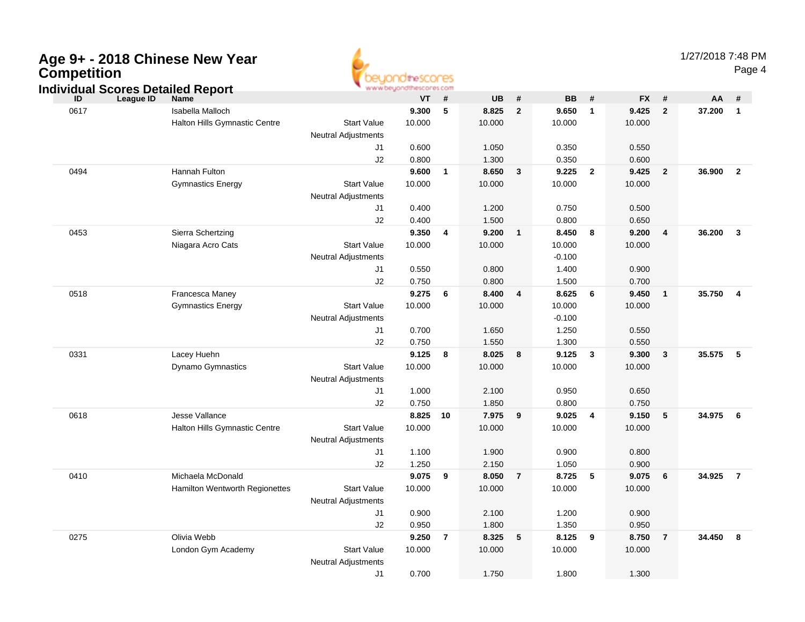

|                 | ndividual Scores Detailed Report |                                  | - www.beyonatuescores.com |                |           |                |                 |                |           |                         |        |                |
|-----------------|----------------------------------|----------------------------------|---------------------------|----------------|-----------|----------------|-----------------|----------------|-----------|-------------------------|--------|----------------|
| ID<br>League ID | Name                             |                                  | VT                        | #              | <b>UB</b> | #              | <b>BB</b>       | #              | <b>FX</b> | #                       | AA     | #              |
| 0617            | Isabella Malloch                 |                                  | 9.300                     | 5              | 8.825     | $\overline{2}$ | 9.650           | $\mathbf{1}$   | 9.425     | $\overline{2}$          | 37.200 | $\overline{1}$ |
|                 | Halton Hills Gymnastic Centre    | <b>Start Value</b>               | 10.000                    |                | 10.000    |                | 10.000          |                | 10.000    |                         |        |                |
|                 |                                  | <b>Neutral Adjustments</b>       |                           |                |           |                |                 |                |           |                         |        |                |
|                 |                                  | J1                               | 0.600                     |                | 1.050     |                | 0.350           |                | 0.550     |                         |        |                |
|                 |                                  | J2                               | 0.800                     |                | 1.300     |                | 0.350           |                | 0.600     |                         |        |                |
| 0494            | Hannah Fulton                    |                                  | 9.600                     | $\overline{1}$ | 8.650     | $\mathbf{3}$   | 9.225           | $\overline{2}$ | 9.425     | $\overline{\mathbf{2}}$ | 36.900 | $\overline{2}$ |
|                 | <b>Gymnastics Energy</b>         | <b>Start Value</b>               | 10.000                    |                | 10.000    |                | 10.000          |                | 10.000    |                         |        |                |
|                 |                                  | <b>Neutral Adjustments</b>       |                           |                |           |                |                 |                |           |                         |        |                |
|                 |                                  | J1                               | 0.400                     |                | 1.200     |                | 0.750           |                | 0.500     |                         |        |                |
|                 |                                  | J2                               | 0.400                     |                | 1.500     |                | 0.800           |                | 0.650     |                         |        |                |
| 0453            | Sierra Schertzing                |                                  | 9.350                     | $\overline{4}$ | 9.200     | $\mathbf{1}$   | 8.450           | 8              | 9.200     | $\overline{4}$          | 36.200 | $\mathbf{3}$   |
|                 | Niagara Acro Cats                | <b>Start Value</b>               | 10.000                    |                | 10.000    |                | 10.000          |                | 10.000    |                         |        |                |
|                 |                                  | <b>Neutral Adjustments</b>       |                           |                |           |                | $-0.100$        |                |           |                         |        |                |
|                 |                                  | J <sub>1</sub>                   | 0.550                     |                | 0.800     |                | 1.400           |                | 0.900     |                         |        |                |
|                 |                                  | J2                               | 0.750                     |                | 0.800     |                | 1.500           |                | 0.700     |                         |        |                |
| 0518            | Francesca Maney                  |                                  | 9.275                     | 6              | 8.400     | 4              | 8.625           | 6              | 9.450     | $\overline{\mathbf{1}}$ | 35.750 | $\overline{4}$ |
|                 | <b>Gymnastics Energy</b>         | <b>Start Value</b>               | 10.000                    |                | 10.000    |                | 10.000          |                | 10.000    |                         |        |                |
|                 |                                  | <b>Neutral Adjustments</b>       |                           |                |           |                | $-0.100$        |                |           |                         |        |                |
|                 |                                  | J1                               | 0.700                     |                | 1.650     |                | 1.250           |                | 0.550     |                         |        |                |
|                 |                                  | J2                               | 0.750                     |                | 1.550     |                | 1.300           |                | 0.550     |                         | 35.575 | 5              |
| 0331            | Lacey Huehn                      | <b>Start Value</b>               | 9.125                     | 8              | 8.025     | 8              | 9.125<br>10.000 | $\mathbf{3}$   | 9.300     | $\mathbf{3}$            |        |                |
|                 | Dynamo Gymnastics                |                                  | 10.000                    |                | 10.000    |                |                 |                | 10.000    |                         |        |                |
|                 |                                  | <b>Neutral Adjustments</b><br>J1 | 1.000                     |                | 2.100     |                | 0.950           |                | 0.650     |                         |        |                |
|                 |                                  | J2                               | 0.750                     |                | 1.850     |                | 0.800           |                | 0.750     |                         |        |                |
| 0618            | Jesse Vallance                   |                                  | 8.825                     | 10             | 7.975     | 9              | 9.025           | 4              | 9.150     | $-5$                    | 34.975 | - 6            |
|                 | Halton Hills Gymnastic Centre    | <b>Start Value</b>               | 10.000                    |                | 10.000    |                | 10.000          |                | 10.000    |                         |        |                |
|                 |                                  | <b>Neutral Adjustments</b>       |                           |                |           |                |                 |                |           |                         |        |                |
|                 |                                  | J1                               | 1.100                     |                | 1.900     |                | 0.900           |                | 0.800     |                         |        |                |
|                 |                                  | J2                               | 1.250                     |                | 2.150     |                | 1.050           |                | 0.900     |                         |        |                |
| 0410            | Michaela McDonald                |                                  | 9.075                     | 9              | 8.050     | $\overline{7}$ | 8.725           | 5              | 9.075     | 6                       | 34.925 | $\overline{7}$ |
|                 | Hamilton Wentworth Regionettes   | <b>Start Value</b>               | 10.000                    |                | 10.000    |                | 10.000          |                | 10.000    |                         |        |                |
|                 |                                  | <b>Neutral Adjustments</b>       |                           |                |           |                |                 |                |           |                         |        |                |
|                 |                                  | J1                               | 0.900                     |                | 2.100     |                | 1.200           |                | 0.900     |                         |        |                |
|                 |                                  | J2                               | 0.950                     |                | 1.800     |                | 1.350           |                | 0.950     |                         |        |                |
| 0275            | Olivia Webb                      |                                  | 9.250                     | $\overline{7}$ | 8.325     | 5              | 8.125           | 9              | 8.750     | $\overline{7}$          | 34.450 | - 8            |
|                 | London Gym Academy               | <b>Start Value</b>               | 10.000                    |                | 10.000    |                | 10.000          |                | 10.000    |                         |        |                |
|                 |                                  | <b>Neutral Adjustments</b>       |                           |                |           |                |                 |                |           |                         |        |                |
|                 |                                  | J1                               | 0.700                     |                | 1.750     |                | 1.800           |                | 1.300     |                         |        |                |
|                 |                                  |                                  |                           |                |           |                |                 |                |           |                         |        |                |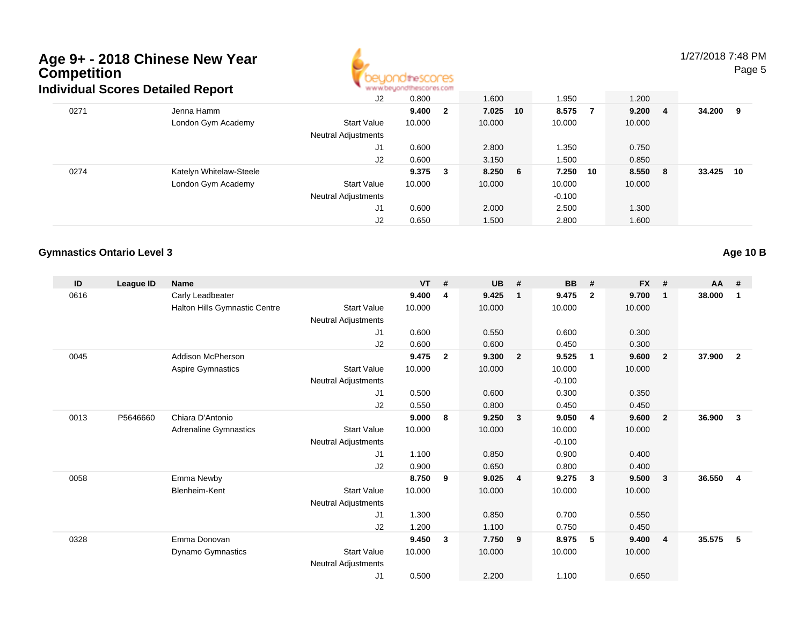

1/27/2018 7:48 PM

Page 5

|      | idividual Scores Detailed Report |                            | <b>M.M.MCASTAN IN ILIMENT AS FOUL</b> |     |          |          |         |        |     |
|------|----------------------------------|----------------------------|---------------------------------------|-----|----------|----------|---------|--------|-----|
|      |                                  | J2                         | 0.800                                 |     | 1.600    | 1.950    | 1.200   |        |     |
| 0271 | Jenna Hamm                       |                            | 9.400                                 | - 2 | 7.025 10 | 8.575    | 9.200 4 | 34.200 | - 9 |
|      | London Gym Academy               | <b>Start Value</b>         | 10.000                                |     | 10.000   | 10.000   | 10.000  |        |     |
|      |                                  | <b>Neutral Adjustments</b> |                                       |     |          |          |         |        |     |
|      |                                  | J1                         | 0.600                                 |     | 2.800    | 1.350    | 0.750   |        |     |
|      |                                  | J2                         | 0.600                                 |     | 3.150    | 1.500    | 0.850   |        |     |
| 0274 | Katelyn Whitelaw-Steele          |                            | 9.375                                 | 3   | 8.250 6  | 7.250 10 | 8.550 8 | 33.425 | 10  |
|      | London Gym Academy               | <b>Start Value</b>         | 10.000                                |     | 10.000   | 10.000   | 10.000  |        |     |
|      |                                  | <b>Neutral Adjustments</b> |                                       |     |          | $-0.100$ |         |        |     |
|      |                                  | J1                         | 0.600                                 |     | 2.000    | 2.500    | 1.300   |        |     |
|      |                                  | J2                         | 0.650                                 |     | 1.500    | 2.800    | 1.600   |        |     |

#### **Gymnastics Ontario Level 3**

**Age 10 B**

| ID   | League ID | <b>Name</b>                   |                            | <b>VT</b> | #            | <b>UB</b> | #                       | <b>BB</b> | #                       | <b>FX</b> | #            | $AA$ # |                |
|------|-----------|-------------------------------|----------------------------|-----------|--------------|-----------|-------------------------|-----------|-------------------------|-----------|--------------|--------|----------------|
| 0616 |           | Carly Leadbeater              |                            | 9.400     | 4            | 9.425     | $\mathbf 1$             | 9.475     | $\overline{2}$          | 9.700     | $\mathbf 1$  | 38.000 | 1              |
|      |           | Halton Hills Gymnastic Centre | <b>Start Value</b>         | 10.000    |              | 10.000    |                         | 10.000    |                         | 10.000    |              |        |                |
|      |           |                               | Neutral Adjustments        |           |              |           |                         |           |                         |           |              |        |                |
|      |           |                               | J1                         | 0.600     |              | 0.550     |                         | 0.600     |                         | 0.300     |              |        |                |
|      |           |                               | J2                         | 0.600     |              | 0.600     |                         | 0.450     |                         | 0.300     |              |        |                |
| 0045 |           | <b>Addison McPherson</b>      |                            | 9.475     | $\mathbf{2}$ | 9.300     | $\overline{\mathbf{2}}$ | 9.525     | $\overline{\mathbf{1}}$ | 9.600     | $\mathbf{2}$ | 37.900 | $\overline{2}$ |
|      |           | Aspire Gymnastics             | <b>Start Value</b>         | 10.000    |              | 10.000    |                         | 10.000    |                         | 10.000    |              |        |                |
|      |           |                               | Neutral Adjustments        |           |              |           |                         | $-0.100$  |                         |           |              |        |                |
|      |           |                               | J1                         | 0.500     |              | 0.600     |                         | 0.300     |                         | 0.350     |              |        |                |
|      |           |                               | J <sub>2</sub>             | 0.550     |              | 0.800     |                         | 0.450     |                         | 0.450     |              |        |                |
| 0013 | P5646660  | Chiara D'Antonio              |                            | 9.000     | 8            | 9.250     | $\mathbf{3}$            | 9.050     | $\overline{4}$          | 9.600     | $\mathbf{2}$ | 36.900 | $\mathbf{3}$   |
|      |           | Adrenaline Gymnastics         | <b>Start Value</b>         | 10.000    |              | 10.000    |                         | 10.000    |                         | 10.000    |              |        |                |
|      |           |                               | <b>Neutral Adjustments</b> |           |              |           |                         | $-0.100$  |                         |           |              |        |                |
|      |           |                               | J1                         | 1.100     |              | 0.850     |                         | 0.900     |                         | 0.400     |              |        |                |
|      |           |                               | J2                         | 0.900     |              | 0.650     |                         | 0.800     |                         | 0.400     |              |        |                |
| 0058 |           | Emma Newby                    |                            | 8.750     | 9            | 9.025     | $\overline{4}$          | 9.275     | -3                      | 9.500     | 3            | 36.550 | $\overline{4}$ |
|      |           | Blenheim-Kent                 | <b>Start Value</b>         | 10.000    |              | 10.000    |                         | 10.000    |                         | 10.000    |              |        |                |
|      |           |                               | Neutral Adjustments        |           |              |           |                         |           |                         |           |              |        |                |
|      |           |                               | J1                         | 1.300     |              | 0.850     |                         | 0.700     |                         | 0.550     |              |        |                |
|      |           |                               | J2                         | 1.200     |              | 1.100     |                         | 0.750     |                         | 0.450     |              |        |                |
| 0328 |           | Emma Donovan                  |                            | 9.450     | 3            | 7.750     | 9                       | 8.975     | -5                      | 9.400     | 4            | 35.575 | 5              |
|      |           | <b>Dynamo Gymnastics</b>      | <b>Start Value</b>         | 10.000    |              | 10.000    |                         | 10.000    |                         | 10.000    |              |        |                |
|      |           |                               | <b>Neutral Adjustments</b> |           |              |           |                         |           |                         |           |              |        |                |
|      |           |                               | J <sub>1</sub>             | 0.500     |              | 2.200     |                         | 1.100     |                         | 0.650     |              |        |                |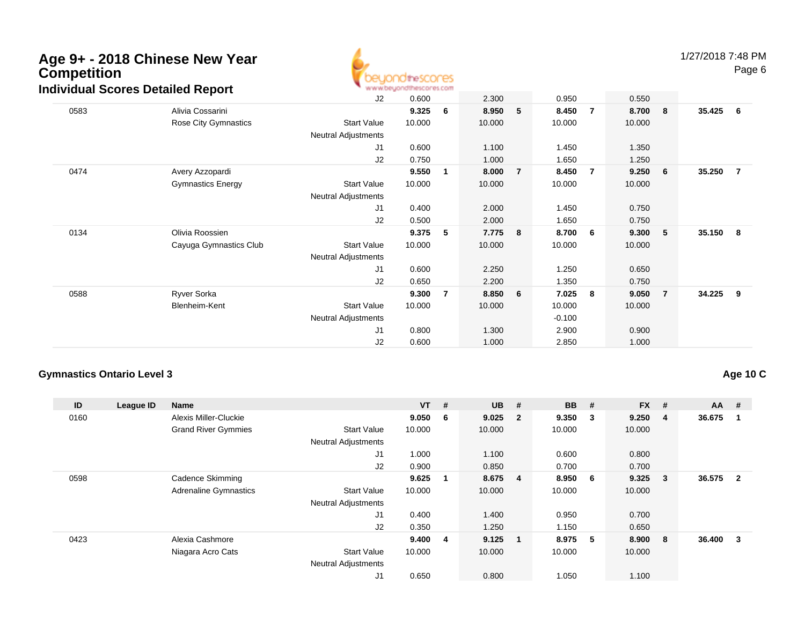

1/27/2018 7:48 PM

Page 6

|      |                          | J2                         | 0.600  |                | 2.300  |                | 0.950    |                | 0.550  |                |        |                |
|------|--------------------------|----------------------------|--------|----------------|--------|----------------|----------|----------------|--------|----------------|--------|----------------|
| 0583 | Alivia Cossarini         |                            | 9.325  | 6              | 8.950  | 5              | 8.450    | $\overline{7}$ | 8.700  | $\bf{8}$       | 35.425 | 6 <sup>6</sup> |
|      | Rose City Gymnastics     | <b>Start Value</b>         | 10.000 |                | 10.000 |                | 10.000   |                | 10.000 |                |        |                |
|      |                          | <b>Neutral Adjustments</b> |        |                |        |                |          |                |        |                |        |                |
|      |                          | J <sub>1</sub>             | 0.600  |                | 1.100  |                | 1.450    |                | 1.350  |                |        |                |
|      |                          | J2                         | 0.750  |                | 1.000  |                | 1.650    |                | 1.250  |                |        |                |
| 0474 | Avery Azzopardi          |                            | 9.550  | 1              | 8.000  | $\overline{7}$ | 8.450    | $\overline{7}$ | 9.250  | 6              | 35.250 | $\overline{7}$ |
|      | <b>Gymnastics Energy</b> | Start Value                | 10.000 |                | 10.000 |                | 10.000   |                | 10.000 |                |        |                |
|      |                          | <b>Neutral Adjustments</b> |        |                |        |                |          |                |        |                |        |                |
|      |                          | J <sub>1</sub>             | 0.400  |                | 2.000  |                | 1.450    |                | 0.750  |                |        |                |
|      |                          | J2                         | 0.500  |                | 2.000  |                | 1.650    |                | 0.750  |                |        |                |
| 0134 | Olivia Roossien          |                            | 9.375  | 5              | 7.775  | 8              | 8.700    | 6              | 9.300  | - 5            | 35.150 | - 8            |
|      | Cayuga Gymnastics Club   | <b>Start Value</b>         | 10.000 |                | 10.000 |                | 10.000   |                | 10.000 |                |        |                |
|      |                          | <b>Neutral Adjustments</b> |        |                |        |                |          |                |        |                |        |                |
|      |                          | J <sub>1</sub>             | 0.600  |                | 2.250  |                | 1.250    |                | 0.650  |                |        |                |
|      |                          | J2                         | 0.650  |                | 2.200  |                | 1.350    |                | 0.750  |                |        |                |
| 0588 | Ryver Sorka              |                            | 9.300  | $\overline{7}$ | 8.850  | 6              | 7.025    | 8              | 9.050  | $\overline{7}$ | 34.225 | - 9            |
|      | Blenheim-Kent            | <b>Start Value</b>         | 10.000 |                | 10.000 |                | 10.000   |                | 10.000 |                |        |                |
|      |                          | Neutral Adjustments        |        |                |        |                | $-0.100$ |                |        |                |        |                |
|      |                          | J1                         | 0.800  |                | 1.300  |                | 2.900    |                | 0.900  |                |        |                |
|      |                          | J <sub>2</sub>             | 0.600  |                | 1.000  |                | 2.850    |                | 1.000  |                |        |                |

### **Gymnastics Ontario Level 3**

**Age 10 C**

| ID   | League ID | <b>Name</b>                  |                            | $VT$ # |    | <b>UB</b> | #                       | <b>BB</b> | #            | <b>FX</b> | # | <b>AA</b> | #              |
|------|-----------|------------------------------|----------------------------|--------|----|-----------|-------------------------|-----------|--------------|-----------|---|-----------|----------------|
| 0160 |           | Alexis Miller-Cluckie        |                            | 9.050  | 6  | 9.025     | $\overline{\mathbf{2}}$ | 9.350     | $\mathbf{3}$ | 9.250     | 4 | 36.675    |                |
|      |           | <b>Grand River Gymmies</b>   | <b>Start Value</b>         | 10.000 |    | 10.000    |                         | 10.000    |              | 10.000    |   |           |                |
|      |           |                              | <b>Neutral Adjustments</b> |        |    |           |                         |           |              |           |   |           |                |
|      |           |                              | J <sub>1</sub>             | 1.000  |    | 1.100     |                         | 0.600     |              | 0.800     |   |           |                |
|      |           |                              | J2                         | 0.900  |    | 0.850     |                         | 0.700     |              | 0.700     |   |           |                |
| 0598 |           | Cadence Skimming             |                            | 9.625  | -1 | 8.675 4   |                         | 8.950     | 6            | 9.325     | 3 | 36.575    | $\overline{2}$ |
|      |           | <b>Adrenaline Gymnastics</b> | <b>Start Value</b>         | 10.000 |    | 10.000    |                         | 10.000    |              | 10.000    |   |           |                |
|      |           |                              | <b>Neutral Adjustments</b> |        |    |           |                         |           |              |           |   |           |                |
|      |           |                              | J <sub>1</sub>             | 0.400  |    | 1.400     |                         | 0.950     |              | 0.700     |   |           |                |
|      |           |                              | J2                         | 0.350  |    | 1.250     |                         | 1.150     |              | 0.650     |   |           |                |
| 0423 |           | Alexia Cashmore              |                            | 9.400  | 4  | 9.125     | $\blacksquare$          | 8.975     | 5            | 8.900     | 8 | 36.400    | 3              |
|      |           | Niagara Acro Cats            | <b>Start Value</b>         | 10.000 |    | 10.000    |                         | 10.000    |              | 10.000    |   |           |                |
|      |           |                              | <b>Neutral Adjustments</b> |        |    |           |                         |           |              |           |   |           |                |
|      |           |                              | J1                         | 0.650  |    | 0.800     |                         | 1.050     |              | 1.100     |   |           |                |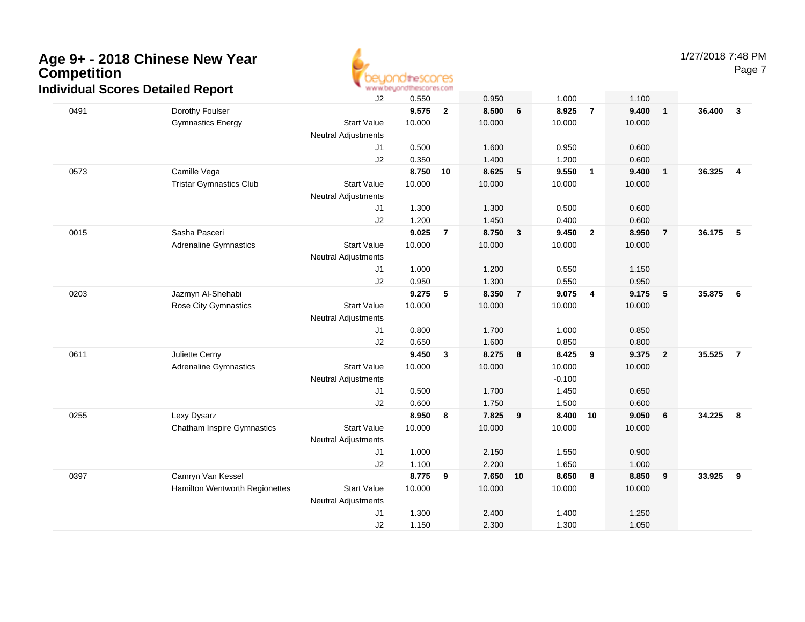

1/27/2018 7:48 PM

|      | riadai Oooros Dotanoa Roport      | J2                         | 0.550  |                | 0.950  |                | 1.000    |                | 1.100  |                         |        |                         |
|------|-----------------------------------|----------------------------|--------|----------------|--------|----------------|----------|----------------|--------|-------------------------|--------|-------------------------|
| 0491 | Dorothy Foulser                   |                            | 9.575  | $\mathbf{2}$   | 8.500  | 6              | 8.925    | $\overline{7}$ | 9.400  | $\overline{1}$          | 36.400 | $\overline{\mathbf{3}}$ |
|      | <b>Gymnastics Energy</b>          | <b>Start Value</b>         | 10.000 |                | 10.000 |                | 10.000   |                | 10.000 |                         |        |                         |
|      |                                   | <b>Neutral Adjustments</b> |        |                |        |                |          |                |        |                         |        |                         |
|      |                                   | J1                         | 0.500  |                | 1.600  |                | 0.950    |                | 0.600  |                         |        |                         |
|      |                                   | J2                         | 0.350  |                | 1.400  |                | 1.200    |                | 0.600  |                         |        |                         |
| 0573 | Camille Vega                      |                            | 8.750  | 10             | 8.625  | 5              | 9.550    | $\mathbf{1}$   | 9.400  | $\overline{\mathbf{1}}$ | 36.325 | $\overline{4}$          |
|      | <b>Tristar Gymnastics Club</b>    | <b>Start Value</b>         | 10.000 |                | 10.000 |                | 10.000   |                | 10.000 |                         |        |                         |
|      |                                   | <b>Neutral Adjustments</b> |        |                |        |                |          |                |        |                         |        |                         |
|      |                                   | J1                         | 1.300  |                | 1.300  |                | 0.500    |                | 0.600  |                         |        |                         |
|      |                                   | J2                         | 1.200  |                | 1.450  |                | 0.400    |                | 0.600  |                         |        |                         |
| 0015 | Sasha Pasceri                     |                            | 9.025  | $\overline{7}$ | 8.750  | $\mathbf{3}$   | 9.450    | $\overline{2}$ | 8.950  | $\overline{7}$          | 36.175 | 5                       |
|      | Adrenaline Gymnastics             | <b>Start Value</b>         | 10.000 |                | 10.000 |                | 10.000   |                | 10.000 |                         |        |                         |
|      |                                   | Neutral Adjustments        |        |                |        |                |          |                |        |                         |        |                         |
|      |                                   | J <sub>1</sub>             | 1.000  |                | 1.200  |                | 0.550    |                | 1.150  |                         |        |                         |
|      |                                   | J2                         | 0.950  |                | 1.300  |                | 0.550    |                | 0.950  |                         |        |                         |
| 0203 | Jazmyn Al-Shehabi                 |                            | 9.275  | 5              | 8.350  | $\overline{7}$ | 9.075    | 4              | 9.175  | $-5$                    | 35.875 | 6                       |
|      | <b>Rose City Gymnastics</b>       | <b>Start Value</b>         | 10.000 |                | 10.000 |                | 10.000   |                | 10.000 |                         |        |                         |
|      |                                   | Neutral Adjustments        |        |                |        |                |          |                |        |                         |        |                         |
|      |                                   | J <sub>1</sub>             | 0.800  |                | 1.700  |                | 1.000    |                | 0.850  |                         |        |                         |
|      |                                   | J2                         | 0.650  |                | 1.600  |                | 0.850    |                | 0.800  |                         |        |                         |
| 0611 | Juliette Cerny                    |                            | 9.450  | $\mathbf{3}$   | 8.275  | 8              | 8.425    | 9              | 9.375  | $\overline{\mathbf{2}}$ | 35.525 | $\overline{7}$          |
|      | <b>Adrenaline Gymnastics</b>      | <b>Start Value</b>         | 10.000 |                | 10.000 |                | 10.000   |                | 10.000 |                         |        |                         |
|      |                                   | <b>Neutral Adjustments</b> |        |                |        |                | $-0.100$ |                |        |                         |        |                         |
|      |                                   | J1                         | 0.500  |                | 1.700  |                | 1.450    |                | 0.650  |                         |        |                         |
|      |                                   | J2                         | 0.600  |                | 1.750  |                | 1.500    |                | 0.600  |                         |        |                         |
| 0255 | Lexy Dysarz                       |                            | 8.950  | 8              | 7.825  | 9              | 8.400    | 10             | 9.050  | $6\phantom{1}6$         | 34.225 | 8                       |
|      | <b>Chatham Inspire Gymnastics</b> | <b>Start Value</b>         | 10.000 |                | 10.000 |                | 10.000   |                | 10.000 |                         |        |                         |
|      |                                   | Neutral Adjustments        |        |                |        |                |          |                |        |                         |        |                         |
|      |                                   | J <sub>1</sub>             | 1.000  |                | 2.150  |                | 1.550    |                | 0.900  |                         |        |                         |
|      |                                   | J2                         | 1.100  |                | 2.200  |                | 1.650    |                | 1.000  |                         |        |                         |
| 0397 | Camryn Van Kessel                 |                            | 8.775  | 9              | 7.650  | 10             | 8.650    | 8              | 8.850  | 9                       | 33.925 | 9                       |
|      | Hamilton Wentworth Regionettes    | <b>Start Value</b>         | 10.000 |                | 10.000 |                | 10.000   |                | 10.000 |                         |        |                         |
|      |                                   | <b>Neutral Adjustments</b> |        |                |        |                |          |                |        |                         |        |                         |
|      |                                   | J1                         | 1.300  |                | 2.400  |                | 1.400    |                | 1.250  |                         |        |                         |
|      |                                   | J2                         | 1.150  |                | 2.300  |                | 1.300    |                | 1.050  |                         |        |                         |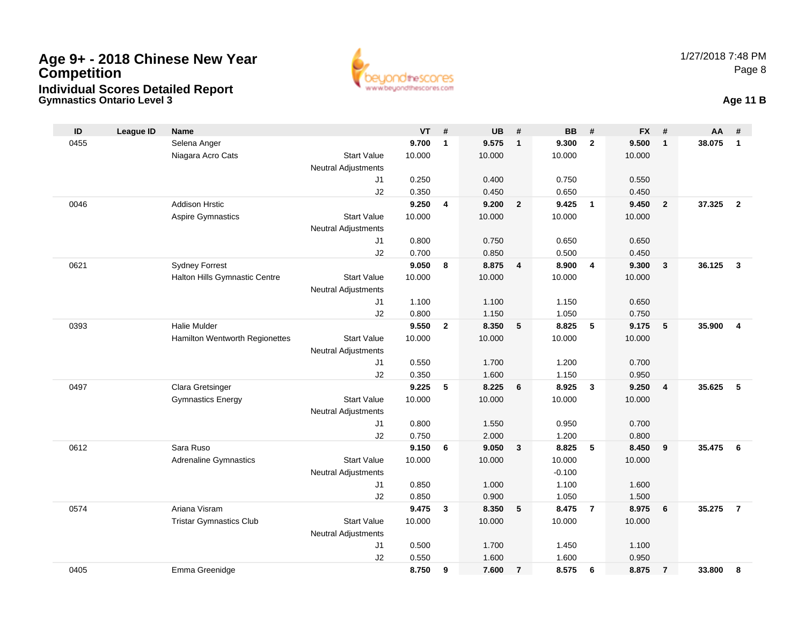

### **Gymnastics Ontario Level 3 Age 11 B**

| ID   | <b>League ID</b> | <b>Name</b>                    |                                  | <b>VT</b> | #                       | <b>UB</b> | #              | <b>BB</b> | #                       | <b>FX</b> | #                       | AA     | #              |
|------|------------------|--------------------------------|----------------------------------|-----------|-------------------------|-----------|----------------|-----------|-------------------------|-----------|-------------------------|--------|----------------|
| 0455 |                  | Selena Anger                   |                                  | 9.700     | $\mathbf{1}$            | 9.575     | $\mathbf{1}$   | 9.300     | $\overline{2}$          | 9.500     | $\mathbf{1}$            | 38.075 | $\mathbf{1}$   |
|      |                  | Niagara Acro Cats              | <b>Start Value</b>               | 10.000    |                         | 10.000    |                | 10.000    |                         | 10.000    |                         |        |                |
|      |                  |                                | Neutral Adjustments              |           |                         |           |                |           |                         |           |                         |        |                |
|      |                  |                                | J1                               | 0.250     |                         | 0.400     |                | 0.750     |                         | 0.550     |                         |        |                |
|      |                  |                                | J2                               | 0.350     |                         | 0.450     |                | 0.650     |                         | 0.450     |                         |        |                |
| 0046 |                  | <b>Addison Hrstic</b>          |                                  | 9.250     | $\overline{\mathbf{4}}$ | 9.200     | $\overline{2}$ | 9.425     | $\overline{1}$          | 9.450     | $\overline{2}$          | 37.325 | $\overline{2}$ |
|      |                  | <b>Aspire Gymnastics</b>       | <b>Start Value</b>               | 10.000    |                         | 10.000    |                | 10.000    |                         | 10.000    |                         |        |                |
|      |                  |                                | Neutral Adjustments              |           |                         |           |                |           |                         |           |                         |        |                |
|      |                  |                                | J1                               | 0.800     |                         | 0.750     |                | 0.650     |                         | 0.650     |                         |        |                |
|      |                  |                                | J2                               | 0.700     |                         | 0.850     |                | 0.500     |                         | 0.450     |                         |        |                |
| 0621 |                  | <b>Sydney Forrest</b>          |                                  | 9.050     | 8                       | 8.875     | $\overline{4}$ | 8.900     | $\overline{4}$          | 9.300     | $\overline{\mathbf{3}}$ | 36.125 | $\mathbf{3}$   |
|      |                  | Halton Hills Gymnastic Centre  | <b>Start Value</b>               | 10.000    |                         | 10.000    |                | 10.000    |                         | 10.000    |                         |        |                |
|      |                  |                                | Neutral Adjustments              |           |                         |           |                |           |                         |           |                         |        |                |
|      |                  |                                | J1                               | 1.100     |                         | 1.100     |                | 1.150     |                         | 0.650     |                         |        |                |
|      |                  |                                | J2                               | 0.800     |                         | 1.150     |                | 1.050     |                         | 0.750     |                         |        |                |
| 0393 |                  | <b>Halie Mulder</b>            |                                  | 9.550     | $\overline{2}$          | 8.350     | 5              | 8.825     | 5                       | 9.175     | 5                       | 35.900 | 4              |
|      |                  | Hamilton Wentworth Regionettes | <b>Start Value</b>               | 10.000    |                         | 10.000    |                | 10.000    |                         | 10.000    |                         |        |                |
|      |                  |                                | <b>Neutral Adjustments</b><br>J1 | 0.550     |                         | 1.700     |                | 1.200     |                         | 0.700     |                         |        |                |
|      |                  |                                | J2                               | 0.350     |                         | 1.600     |                | 1.150     |                         | 0.950     |                         |        |                |
| 0497 |                  | Clara Gretsinger               |                                  | 9.225     | 5                       | 8.225     | 6              | 8.925     | $\overline{\mathbf{3}}$ | 9.250     | $\overline{4}$          | 35.625 | 5              |
|      |                  | <b>Gymnastics Energy</b>       | <b>Start Value</b>               | 10.000    |                         | 10.000    |                | 10.000    |                         | 10.000    |                         |        |                |
|      |                  |                                | <b>Neutral Adjustments</b>       |           |                         |           |                |           |                         |           |                         |        |                |
|      |                  |                                | J1                               | 0.800     |                         | 1.550     |                | 0.950     |                         | 0.700     |                         |        |                |
|      |                  |                                | J2                               | 0.750     |                         | 2.000     |                | 1.200     |                         | 0.800     |                         |        |                |
| 0612 |                  | Sara Ruso                      |                                  | 9.150     | 6                       | 9.050     | 3              | 8.825     | $5\phantom{.0}$         | 8.450     | 9                       | 35.475 | 6              |
|      |                  | <b>Adrenaline Gymnastics</b>   | <b>Start Value</b>               | 10.000    |                         | 10.000    |                | 10.000    |                         | 10.000    |                         |        |                |
|      |                  |                                | <b>Neutral Adjustments</b>       |           |                         |           |                | $-0.100$  |                         |           |                         |        |                |
|      |                  |                                | J1                               | 0.850     |                         | 1.000     |                | 1.100     |                         | 1.600     |                         |        |                |
|      |                  |                                | J2                               | 0.850     |                         | 0.900     |                | 1.050     |                         | 1.500     |                         |        |                |
| 0574 |                  | Ariana Visram                  |                                  | 9.475     | 3                       | 8.350     | 5              | 8.475     | $\overline{7}$          | 8.975     | 6                       | 35.275 | $\overline{7}$ |
|      |                  | <b>Tristar Gymnastics Club</b> | <b>Start Value</b>               | 10.000    |                         | 10.000    |                | 10.000    |                         | 10.000    |                         |        |                |
|      |                  |                                | <b>Neutral Adjustments</b>       |           |                         |           |                |           |                         |           |                         |        |                |
|      |                  |                                | J1                               | 0.500     |                         | 1.700     |                | 1.450     |                         | 1.100     |                         |        |                |
|      |                  |                                | J2                               | 0.550     |                         | 1.600     |                | 1.600     |                         | 0.950     |                         |        |                |
| 0405 |                  | Emma Greenidge                 |                                  | 8.750     | 9                       | 7.600     | $\overline{7}$ | 8.575     | 6                       | 8.875     | $\overline{7}$          | 33.800 | 8              |
|      |                  |                                |                                  |           |                         |           |                |           |                         |           |                         |        |                |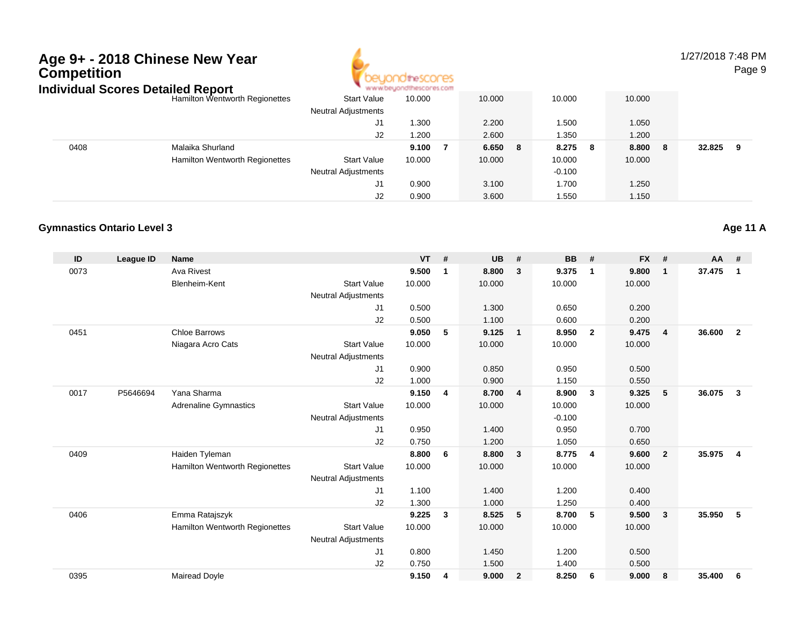

1/27/2018 7:48 PMPage 9

| ndividual Scores Detalled Report |                                       |                            | . M.M.M.DEMOUDILIBROUGH 62 COM |         |          |              |             |
|----------------------------------|---------------------------------------|----------------------------|--------------------------------|---------|----------|--------------|-------------|
|                                  | Hamilton Wentworth Regionettes        | <b>Start Value</b>         | 10.000                         | 10.000  | 10.000   | 10.000       |             |
|                                  |                                       | <b>Neutral Adjustments</b> |                                |         |          |              |             |
|                                  |                                       | J1                         | 1.300                          | 2.200   | 1.500    | 1.050        |             |
|                                  |                                       | J2                         | 1.200                          | 2.600   | 1.350    | 1.200        |             |
| 0408                             | Malaika Shurland                      |                            | 9.100                          | 6.650 8 | 8.275 8  | 8.800<br>- 8 | 32.825<br>9 |
|                                  | <b>Hamilton Wentworth Regionettes</b> | <b>Start Value</b>         | 10.000                         | 10.000  | 10.000   | 10.000       |             |
|                                  |                                       | <b>Neutral Adjustments</b> |                                |         | $-0.100$ |              |             |
|                                  |                                       | J1                         | 0.900                          | 3.100   | 1.700    | 1.250        |             |
|                                  |                                       | J2                         | 0.900                          | 3.600   | 1.550    | 1.150        |             |

#### **Gymnastics Ontario Level 3**

| ID   | League ID | <b>Name</b>                    |                            | <b>VT</b> | # | <b>UB</b> | #                       | <b>BB</b> | #              | <b>FX</b> | #              | $AA$ # |                |
|------|-----------|--------------------------------|----------------------------|-----------|---|-----------|-------------------------|-----------|----------------|-----------|----------------|--------|----------------|
| 0073 |           | <b>Ava Rivest</b>              |                            | 9.500     | 1 | 8.800     | 3                       | 9.375     | $\mathbf{1}$   | 9.800     | $\mathbf{1}$   | 37.475 | 1              |
|      |           | Blenheim-Kent                  | <b>Start Value</b>         | 10.000    |   | 10.000    |                         | 10.000    |                | 10.000    |                |        |                |
|      |           |                                | <b>Neutral Adjustments</b> |           |   |           |                         |           |                |           |                |        |                |
|      |           |                                | J1                         | 0.500     |   | 1.300     |                         | 0.650     |                | 0.200     |                |        |                |
|      |           |                                | J2                         | 0.500     |   | 1.100     |                         | 0.600     |                | 0.200     |                |        |                |
| 0451 |           | <b>Chloe Barrows</b>           |                            | 9.050     | 5 | 9.125     | $\overline{\mathbf{1}}$ | 8.950     | $\overline{2}$ | 9.475     | $\overline{4}$ | 36,600 | $\overline{2}$ |
|      |           | Niagara Acro Cats              | <b>Start Value</b>         | 10.000    |   | 10.000    |                         | 10.000    |                | 10.000    |                |        |                |
|      |           |                                | <b>Neutral Adjustments</b> |           |   |           |                         |           |                |           |                |        |                |
|      |           |                                | J1                         | 0.900     |   | 0.850     |                         | 0.950     |                | 0.500     |                |        |                |
|      |           |                                | J2                         | 1.000     |   | 0.900     |                         | 1.150     |                | 0.550     |                |        |                |
| 0017 | P5646694  | Yana Sharma                    |                            | 9.150     | 4 | 8.700     | $\overline{4}$          | 8.900     | -3             | 9.325     | 5              | 36.075 | 3              |
|      |           | <b>Adrenaline Gymnastics</b>   | <b>Start Value</b>         | 10.000    |   | 10.000    |                         | 10.000    |                | 10.000    |                |        |                |
|      |           |                                | <b>Neutral Adjustments</b> |           |   |           |                         | $-0.100$  |                |           |                |        |                |
|      |           |                                | J1                         | 0.950     |   | 1.400     |                         | 0.950     |                | 0.700     |                |        |                |
|      |           |                                | J2                         | 0.750     |   | 1.200     |                         | 1.050     |                | 0.650     |                |        |                |
| 0409 |           | Haiden Tyleman                 |                            | 8.800     | 6 | 8.800     | $\overline{\mathbf{3}}$ | 8.775     | $\overline{4}$ | 9.600     | $\overline{2}$ | 35.975 | $\overline{4}$ |
|      |           | Hamilton Wentworth Regionettes | <b>Start Value</b>         | 10.000    |   | 10.000    |                         | 10.000    |                | 10.000    |                |        |                |
|      |           |                                | <b>Neutral Adjustments</b> |           |   |           |                         |           |                |           |                |        |                |
|      |           |                                | J <sub>1</sub>             | 1.100     |   | 1.400     |                         | 1.200     |                | 0.400     |                |        |                |
|      |           |                                | J2                         | 1.300     |   | 1.000     |                         | 1.250     |                | 0.400     |                |        |                |
| 0406 |           | Emma Ratajszyk                 |                            | 9.225     | 3 | 8.525     | 5                       | 8.700     | 5              | 9.500     | $\mathbf{3}$   | 35.950 | -5             |
|      |           | Hamilton Wentworth Regionettes | <b>Start Value</b>         | 10.000    |   | 10.000    |                         | 10.000    |                | 10.000    |                |        |                |
|      |           |                                | <b>Neutral Adjustments</b> |           |   |           |                         |           |                |           |                |        |                |
|      |           |                                | J <sub>1</sub>             | 0.800     |   | 1.450     |                         | 1.200     |                | 0.500     |                |        |                |
|      |           |                                | J <sub>2</sub>             | 0.750     |   | 1.500     |                         | 1.400     |                | 0.500     |                |        |                |
| 0395 |           | Mairead Doyle                  |                            | 9.150     | 4 | 9.000     | $\overline{2}$          | 8.250     | 6              | 9.000     | 8              | 35.400 | 6              |

**Age 11 A**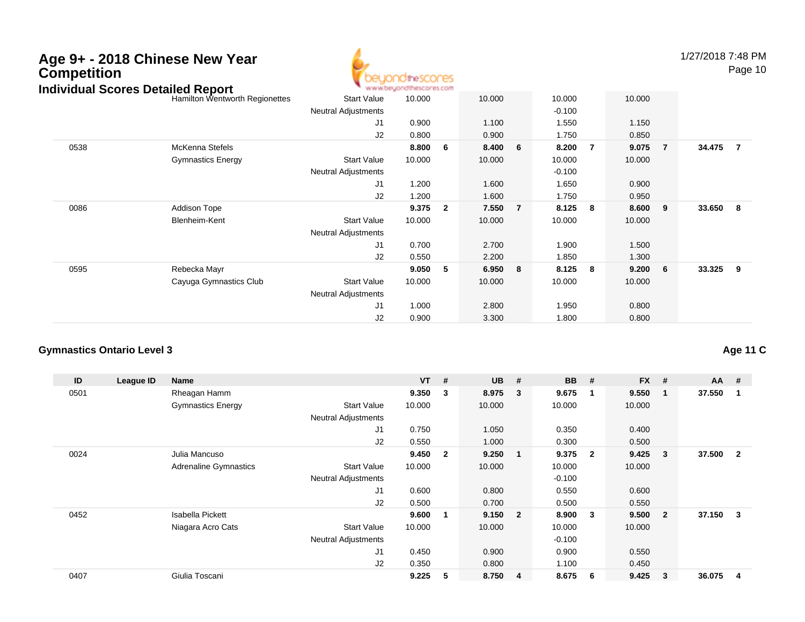

1/27/2018 7:48 PM

Page 10

| ndividual Scores Detalled Report |                                |                            | W.M.M.DB/TOLIOLINACOL 62 COLL |                         |        |                |          |                |        |                |          |  |
|----------------------------------|--------------------------------|----------------------------|-------------------------------|-------------------------|--------|----------------|----------|----------------|--------|----------------|----------|--|
|                                  | Hamilton Wentworth Regionettes | <b>Start Value</b>         | 10.000                        |                         | 10.000 |                | 10.000   |                | 10.000 |                |          |  |
|                                  |                                | <b>Neutral Adjustments</b> |                               |                         |        |                | $-0.100$ |                |        |                |          |  |
|                                  |                                | J1                         | 0.900                         |                         | 1.100  |                | 1.550    |                | 1.150  |                |          |  |
|                                  |                                | J2                         | 0.800                         |                         | 0.900  |                | 1.750    |                | 0.850  |                |          |  |
| 0538                             | McKenna Stefels                |                            | 8.800                         | - 6                     | 8.400  | 6              | 8.200    | $\overline{7}$ | 9.075  | $\overline{7}$ | 34.475 7 |  |
|                                  | <b>Gymnastics Energy</b>       | <b>Start Value</b>         | 10.000                        |                         | 10.000 |                | 10.000   |                | 10.000 |                |          |  |
|                                  |                                | <b>Neutral Adjustments</b> |                               |                         |        |                | $-0.100$ |                |        |                |          |  |
|                                  |                                | J1                         | 1.200                         |                         | 1.600  |                | 1.650    |                | 0.900  |                |          |  |
|                                  |                                | J2                         | 1.200                         |                         | 1.600  |                | 1.750    |                | 0.950  |                |          |  |
| 0086                             | <b>Addison Tope</b>            |                            | 9.375                         | $\overline{\mathbf{2}}$ | 7.550  | $\overline{7}$ | 8.125    | 8              | 8.600  | 9              | 33.650 8 |  |
|                                  | Blenheim-Kent                  | <b>Start Value</b>         | 10.000                        |                         | 10.000 |                | 10.000   |                | 10.000 |                |          |  |
|                                  |                                | <b>Neutral Adjustments</b> |                               |                         |        |                |          |                |        |                |          |  |
|                                  |                                | J <sub>1</sub>             | 0.700                         |                         | 2.700  |                | 1.900    |                | 1.500  |                |          |  |
|                                  |                                | J2                         | 0.550                         |                         | 2.200  |                | 1.850    |                | 1.300  |                |          |  |
| 0595                             | Rebecka Mayr                   |                            | 9.050                         | -5                      | 6.950  | 8              | 8.125    | 8              | 9.200  | 6              | 33.325 9 |  |
|                                  | Cayuga Gymnastics Club         | <b>Start Value</b>         | 10.000                        |                         | 10.000 |                | 10.000   |                | 10.000 |                |          |  |
|                                  |                                | <b>Neutral Adjustments</b> |                               |                         |        |                |          |                |        |                |          |  |
|                                  |                                | J <sub>1</sub>             | 1.000                         |                         | 2.800  |                | 1.950    |                | 0.800  |                |          |  |
|                                  |                                | J <sub>2</sub>             | 0.900                         |                         | 3.300  |                | 1.800    |                | 0.800  |                |          |  |

### **Gymnastics Ontario Level 3**

| ID   | League ID | Name                         |                            | <b>VT</b> | #                       | <b>UB</b> | #                       | <b>BB</b> | #            | <b>FX</b> | #              | $AA$ # |                |
|------|-----------|------------------------------|----------------------------|-----------|-------------------------|-----------|-------------------------|-----------|--------------|-----------|----------------|--------|----------------|
| 0501 |           | Rheagan Hamm                 |                            | 9.350     | 3                       | 8.975     | 3                       | 9.675     | 1            | 9.550     |                | 37.550 |                |
|      |           | <b>Gymnastics Energy</b>     | <b>Start Value</b>         | 10.000    |                         | 10.000    |                         | 10.000    |              | 10.000    |                |        |                |
|      |           |                              | <b>Neutral Adjustments</b> |           |                         |           |                         |           |              |           |                |        |                |
|      |           |                              | J1                         | 0.750     |                         | 1.050     |                         | 0.350     |              | 0.400     |                |        |                |
|      |           |                              | J2                         | 0.550     |                         | 1.000     |                         | 0.300     |              | 0.500     |                |        |                |
| 0024 |           | Julia Mancuso                |                            | 9.450     | $\overline{\mathbf{2}}$ | 9.250     | $\overline{\mathbf{1}}$ | 9.375     | $\mathbf{2}$ | 9.425     | 3              | 37.500 | $\overline{2}$ |
|      |           | <b>Adrenaline Gymnastics</b> | <b>Start Value</b>         | 10.000    |                         | 10.000    |                         | 10.000    |              | 10.000    |                |        |                |
|      |           |                              | <b>Neutral Adjustments</b> |           |                         |           |                         | $-0.100$  |              |           |                |        |                |
|      |           |                              | J <sub>1</sub>             | 0.600     |                         | 0.800     |                         | 0.550     |              | 0.600     |                |        |                |
|      |           |                              | J2                         | 0.500     |                         | 0.700     |                         | 0.500     |              | 0.550     |                |        |                |
| 0452 |           | Isabella Pickett             |                            | 9.600     |                         | 9.150     | $\overline{\mathbf{2}}$ | 8.900     | 3            | 9.500     | $\overline{2}$ | 37.150 | -3             |
|      |           | Niagara Acro Cats            | <b>Start Value</b>         | 10.000    |                         | 10.000    |                         | 10.000    |              | 10.000    |                |        |                |
|      |           |                              | <b>Neutral Adjustments</b> |           |                         |           |                         | $-0.100$  |              |           |                |        |                |
|      |           |                              | J <sub>1</sub>             | 0.450     |                         | 0.900     |                         | 0.900     |              | 0.550     |                |        |                |
|      |           |                              | J <sub>2</sub>             | 0.350     |                         | 0.800     |                         | 1.100     |              | 0.450     |                |        |                |
| 0407 |           | Giulia Toscani               |                            | 9.225     | 5                       | 8.750     | $\overline{\mathbf{4}}$ | 8.675     | 6            | 9.425     | 3              | 36.075 | 4              |

**Age 11 C**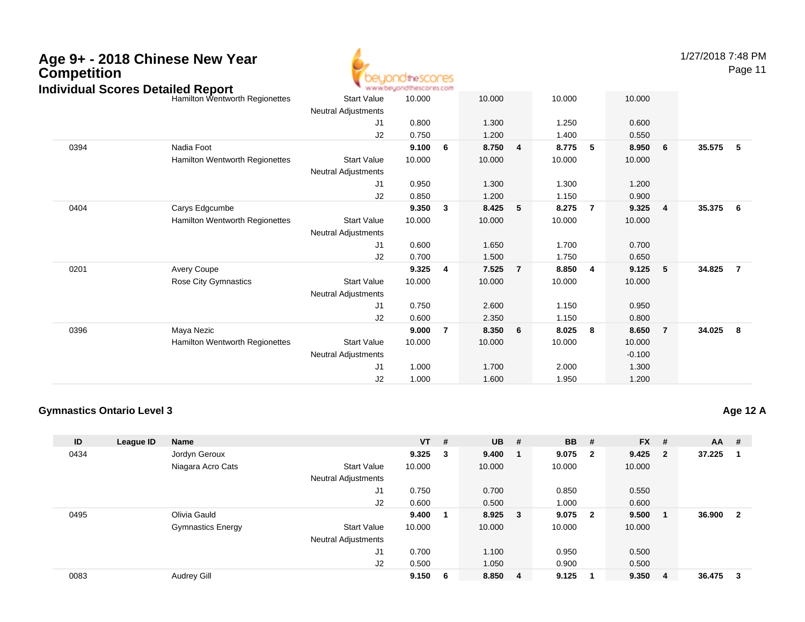### **Age 9+ - 2018 Chinese New YearCompetition**



1/27/2018 7:48 PM

Page 11

| Hamilton Wentworth Regionettes | <b>Start Value</b>                | 10.000 |              | 10.000                  |                | 10.000 |                | 10.000   |                |        |                |
|--------------------------------|-----------------------------------|--------|--------------|-------------------------|----------------|--------|----------------|----------|----------------|--------|----------------|
|                                | <b>Neutral Adjustments</b>        |        |              |                         |                |        |                |          |                |        |                |
|                                | J1                                | 0.800  |              | 1.300                   |                | 1.250  |                | 0.600    |                |        |                |
|                                | J2                                | 0.750  |              | 1.200                   |                | 1.400  |                | 0.550    |                |        |                |
| Nadia Foot                     |                                   | 9.100  | 6            | 8.750                   | 4              | 8.775  | 5              | 8.950    | 6              | 35.575 | - 5            |
| Hamilton Wentworth Regionettes | <b>Start Value</b>                | 10.000 |              | 10.000                  |                | 10.000 |                | 10.000   |                |        |                |
|                                | <b>Neutral Adjustments</b>        |        |              |                         |                |        |                |          |                |        |                |
|                                | J1                                | 0.950  |              | 1.300                   |                | 1.300  |                | 1.200    |                |        |                |
|                                | J2                                | 0.850  |              | 1.200                   |                | 1.150  |                | 0.900    |                |        |                |
| Carys Edgcumbe                 |                                   | 9.350  | $\mathbf{3}$ | 8.425                   | 5              | 8.275  | $\overline{7}$ | 9.325    | $\overline{4}$ | 35.375 | 6              |
| Hamilton Wentworth Regionettes | Start Value                       | 10.000 |              | 10.000                  |                | 10.000 |                | 10.000   |                |        |                |
|                                | <b>Neutral Adjustments</b>        |        |              |                         |                |        |                |          |                |        |                |
|                                | J <sub>1</sub>                    | 0.600  |              | 1.650                   |                | 1.700  |                | 0.700    |                |        |                |
|                                | J2                                | 0.700  |              | 1.500                   |                | 1.750  |                | 0.650    |                |        |                |
| Avery Coupe                    |                                   | 9.325  | 4            | 7.525                   | $\overline{7}$ | 8.850  | 4              | 9.125    | 5              | 34.825 | $\overline{7}$ |
| Rose City Gymnastics           | <b>Start Value</b>                | 10.000 |              | 10.000                  |                | 10.000 |                | 10.000   |                |        |                |
|                                | Neutral Adjustments               |        |              |                         |                |        |                |          |                |        |                |
|                                | J1                                | 0.750  |              | 2.600                   |                | 1.150  |                | 0.950    |                |        |                |
|                                | J2                                | 0.600  |              | 2.350                   |                | 1.150  |                | 0.800    |                |        |                |
| Maya Nezic                     |                                   | 9.000  | 7            | 8.350                   | 6              | 8.025  | 8              | 8.650    | $\overline{7}$ | 34.025 | $_{\rm 8}$     |
| Hamilton Wentworth Regionettes | <b>Start Value</b>                | 10.000 |              | 10.000                  |                | 10.000 |                | 10.000   |                |        |                |
|                                | Neutral Adjustments               |        |              |                         |                |        |                | $-0.100$ |                |        |                |
|                                | J <sub>1</sub>                    | 1.000  |              | 1.700                   |                | 2.000  |                | 1.300    |                |        |                |
|                                | J2                                | 1.000  |              | 1.600                   |                | 1.950  |                | 1.200    |                |        |                |
|                                | Individual Scores Detailed Report |        |              | www.beyondthescores.com |                |        |                |          |                |        |                |

#### **Gymnastics Ontario Level 3**

**ID League ID Name VT # UB # BB # FX # AA #** 0434 Jordyn Geroux **9.325 <sup>3</sup> 9.400 <sup>1</sup> 9.075 <sup>2</sup> 9.425 <sup>2</sup> 37.225 <sup>1</sup>** Niagara Acro Cats Start Valuee 10.000 10.000 10.000 10.000 Neutral Adjustments J1 0.750 0.700 0.850 0.550 J2 0.600 0.500 1.000 0.600 0495 Olivia Gauld **9.400 <sup>1</sup> 8.925 <sup>3</sup> 9.075 <sup>2</sup> 9.500 <sup>1</sup> 36.900 <sup>2</sup>** Gymnastics Energy Start Valuee 10.000 10.000 10.000 10.000 Neutral Adjustments J1 0.700 1.100 0.950 0.500 J2 0.500 1.050 0.900 0.500 0083Audrey Gill **9.150 <sup>6</sup> 8.850 <sup>4</sup> 9.125 <sup>1</sup> 9.350 <sup>4</sup> 36.475 <sup>3</sup>**

**Age 12 A**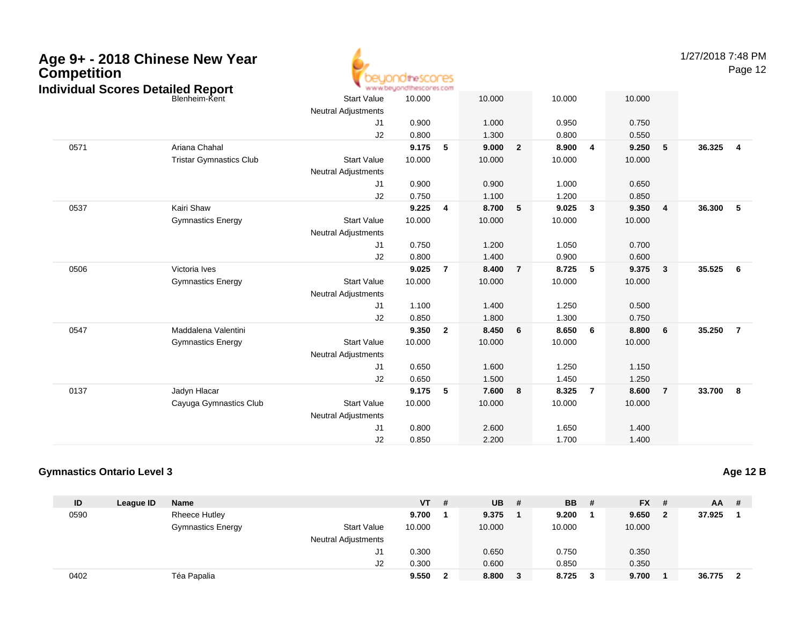| <b>Competition</b> | Age 9+ - 2018 Chinese New Year<br><b>Individual Scores Detailed Report</b> |                                                  | dtheSCOCES<br>www.beyondthescores.com |                |        |                |        |                |        |                         | 1/27/2018 7:48 | Page           |
|--------------------|----------------------------------------------------------------------------|--------------------------------------------------|---------------------------------------|----------------|--------|----------------|--------|----------------|--------|-------------------------|----------------|----------------|
|                    | Blenheim-Kent                                                              | <b>Start Value</b><br><b>Neutral Adjustments</b> | 10.000                                |                | 10.000 |                | 10.000 |                | 10.000 |                         |                |                |
|                    |                                                                            | J <sub>1</sub>                                   | 0.900                                 |                | 1.000  |                | 0.950  |                | 0.750  |                         |                |                |
|                    |                                                                            | J2                                               | 0.800                                 |                | 1.300  |                | 0.800  |                | 0.550  |                         |                |                |
| 0571               | Ariana Chahal                                                              |                                                  | 9.175                                 | 5              | 9.000  | $\overline{2}$ | 8.900  | 4              | 9.250  | 5                       | 36.325         | $\overline{4}$ |
|                    | <b>Tristar Gymnastics Club</b>                                             | <b>Start Value</b>                               | 10.000                                |                | 10.000 |                | 10.000 |                | 10.000 |                         |                |                |
|                    |                                                                            | <b>Neutral Adjustments</b>                       |                                       |                |        |                |        |                |        |                         |                |                |
|                    |                                                                            | J <sub>1</sub>                                   | 0.900                                 |                | 0.900  |                | 1.000  |                | 0.650  |                         |                |                |
|                    |                                                                            | J2                                               | 0.750                                 |                | 1.100  |                | 1.200  |                | 0.850  |                         |                |                |
| 0537               | Kairi Shaw                                                                 |                                                  | 9.225                                 | $\overline{4}$ | 8.700  | 5              | 9.025  | $\mathbf{3}$   | 9.350  | $\overline{4}$          | 36.300         | 5              |
|                    | <b>Gymnastics Energy</b>                                                   | <b>Start Value</b>                               | 10.000                                |                | 10.000 |                | 10.000 |                | 10.000 |                         |                |                |
|                    |                                                                            | Neutral Adjustments                              |                                       |                |        |                |        |                |        |                         |                |                |
|                    |                                                                            | J <sub>1</sub>                                   | 0.750                                 |                | 1.200  |                | 1.050  |                | 0.700  |                         |                |                |
|                    |                                                                            | J2                                               | 0.800                                 |                | 1.400  |                | 0.900  |                | 0.600  |                         |                |                |
| 0506               | Victoria Ives                                                              |                                                  | 9.025                                 | $\overline{7}$ | 8.400  | $\overline{7}$ | 8.725  | 5              | 9.375  | $\overline{\mathbf{3}}$ | 35.525         | 6              |
|                    | <b>Gymnastics Energy</b>                                                   | <b>Start Value</b>                               | 10.000                                |                | 10.000 |                | 10.000 |                | 10.000 |                         |                |                |
|                    |                                                                            | <b>Neutral Adjustments</b>                       |                                       |                |        |                |        |                |        |                         |                |                |
|                    |                                                                            | J <sub>1</sub>                                   | 1.100                                 |                | 1.400  |                | 1.250  |                | 0.500  |                         |                |                |
|                    |                                                                            | J2                                               | 0.850                                 |                | 1.800  |                | 1.300  |                | 0.750  |                         |                |                |
| 0547               | Maddalena Valentini                                                        |                                                  | 9.350                                 | $\overline{2}$ | 8.450  | 6              | 8.650  | 6              | 8.800  | 6                       | 35.250         | $\overline{7}$ |
|                    | <b>Gymnastics Energy</b>                                                   | <b>Start Value</b>                               | 10.000                                |                | 10.000 |                | 10.000 |                | 10.000 |                         |                |                |
|                    |                                                                            | <b>Neutral Adjustments</b>                       |                                       |                |        |                |        |                |        |                         |                |                |
|                    |                                                                            | J <sub>1</sub>                                   | 0.650                                 |                | 1.600  |                | 1.250  |                | 1.150  |                         |                |                |
|                    |                                                                            | J2                                               | 0.650                                 |                | 1.500  |                | 1.450  |                | 1.250  |                         |                |                |
| 0137               | Jadyn Hlacar                                                               |                                                  | 9.175                                 | 5              | 7.600  | 8              | 8.325  | $\overline{7}$ | 8.600  | $\overline{7}$          | 33.700         | 8              |
|                    | Cayuga Gymnastics Club                                                     | <b>Start Value</b>                               | 10.000                                |                | 10.000 |                | 10.000 |                | 10.000 |                         |                |                |
|                    |                                                                            | <b>Neutral Adjustments</b>                       |                                       |                |        |                |        |                |        |                         |                |                |
|                    |                                                                            | J <sub>1</sub>                                   | 0.800                                 |                | 2.600  |                | 1.650  |                | 1.400  |                         |                |                |
|                    |                                                                            | J2                                               | 0.850                                 |                | 2.200  |                | 1.700  |                | 1.400  |                         |                |                |

### **Gymnastics Ontario Level 3**

| ID   | League ID | <b>Name</b>              |                            | VT     | # | <b>UB</b> | # | <b>BB</b> | # | $FX$ # |              | $AA$ # |                         |
|------|-----------|--------------------------|----------------------------|--------|---|-----------|---|-----------|---|--------|--------------|--------|-------------------------|
| 0590 |           | Rheece Hutley            |                            | 9.700  |   | 9.375     |   | 9.200     |   | 9.650  | $\mathbf{2}$ | 37.925 |                         |
|      |           | <b>Gymnastics Energy</b> | <b>Start Value</b>         | 10.000 |   | 10.000    |   | 10.000    |   | 10.000 |              |        |                         |
|      |           |                          | <b>Neutral Adjustments</b> |        |   |           |   |           |   |        |              |        |                         |
|      |           |                          | J1                         | 0.300  |   | 0.650     |   | 0.750     |   | 0.350  |              |        |                         |
|      |           |                          | J2                         | 0.300  |   | 0.600     |   | 0.850     |   | 0.350  |              |        |                         |
| 0402 |           | Téa Papalia              |                            | 9.550  | 2 | 8.800     | 3 | 8.725     | 3 | 9.700  |              | 36.775 | $\overline{\mathbf{2}}$ |

 $PM$ 

Page 12

**Age 12 B**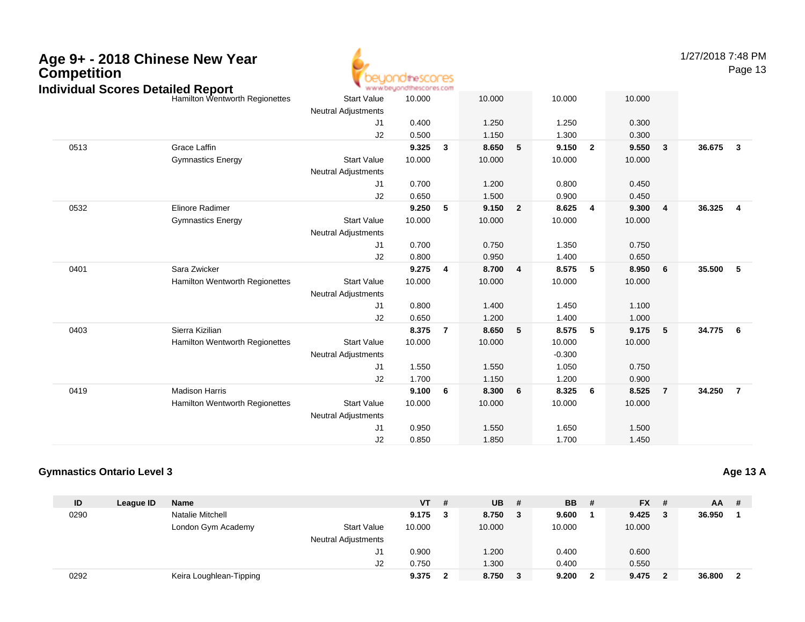

1/27/2018 7:48 PM

Page 13

|      | naiviauai Scores Detailea Report      |                            | www.oeyonomescores.com |                |        |                |          |                |        |                         |        |                |
|------|---------------------------------------|----------------------------|------------------------|----------------|--------|----------------|----------|----------------|--------|-------------------------|--------|----------------|
|      | Hamilton Wentworth Regionettes        | <b>Start Value</b>         | 10.000                 |                | 10.000 |                | 10.000   |                | 10.000 |                         |        |                |
|      |                                       | <b>Neutral Adjustments</b> |                        |                |        |                |          |                |        |                         |        |                |
|      |                                       | J1                         | 0.400                  |                | 1.250  |                | 1.250    |                | 0.300  |                         |        |                |
|      |                                       | J <sub>2</sub>             | 0.500                  |                | 1.150  |                | 1.300    |                | 0.300  |                         |        |                |
| 0513 | Grace Laffin                          |                            | 9.325                  | 3              | 8.650  | 5              | 9.150    | $\overline{2}$ | 9.550  | $\overline{\mathbf{3}}$ | 36.675 | $\mathbf{3}$   |
|      | <b>Gymnastics Energy</b>              | <b>Start Value</b>         | 10.000                 |                | 10.000 |                | 10.000   |                | 10.000 |                         |        |                |
|      |                                       | <b>Neutral Adjustments</b> |                        |                |        |                |          |                |        |                         |        |                |
|      |                                       | J1                         | 0.700                  |                | 1.200  |                | 0.800    |                | 0.450  |                         |        |                |
|      |                                       | J2                         | 0.650                  |                | 1.500  |                | 0.900    |                | 0.450  |                         |        |                |
| 0532 | Elinore Radimer                       |                            | 9.250                  | 5              | 9.150  | $\overline{2}$ | 8.625    | 4              | 9.300  | $\overline{\mathbf{4}}$ | 36.325 | $\overline{4}$ |
|      | <b>Gymnastics Energy</b>              | <b>Start Value</b>         | 10.000                 |                | 10.000 |                | 10.000   |                | 10.000 |                         |        |                |
|      |                                       | <b>Neutral Adjustments</b> |                        |                |        |                |          |                |        |                         |        |                |
|      |                                       | J1                         | 0.700                  |                | 0.750  |                | 1.350    |                | 0.750  |                         |        |                |
|      |                                       | J2                         | 0.800                  |                | 0.950  |                | 1.400    |                | 0.650  |                         |        |                |
| 0401 | Sara Zwicker                          |                            | 9.275                  | $\overline{4}$ | 8.700  | $\overline{4}$ | 8.575    | 5              | 8.950  | $6\overline{6}$         | 35.500 | - 5            |
|      | <b>Hamilton Wentworth Regionettes</b> | <b>Start Value</b>         | 10.000                 |                | 10.000 |                | 10.000   |                | 10.000 |                         |        |                |
|      |                                       | <b>Neutral Adjustments</b> |                        |                |        |                |          |                |        |                         |        |                |
|      |                                       | J1                         | 0.800                  |                | 1.400  |                | 1.450    |                | 1.100  |                         |        |                |
|      |                                       | J2                         | 0.650                  |                | 1.200  |                | 1.400    |                | 1.000  |                         |        |                |
| 0403 | Sierra Kizilian                       |                            | 8.375                  | $\overline{7}$ | 8.650  | 5              | 8.575    | 5              | 9.175  | $-5$                    | 34.775 | - 6            |
|      | Hamilton Wentworth Regionettes        | <b>Start Value</b>         | 10.000                 |                | 10.000 |                | 10.000   |                | 10.000 |                         |        |                |
|      |                                       | <b>Neutral Adjustments</b> |                        |                |        |                | $-0.300$ |                |        |                         |        |                |
|      |                                       | J1                         | 1.550                  |                | 1.550  |                | 1.050    |                | 0.750  |                         |        |                |
|      |                                       | J2                         | 1.700                  |                | 1.150  |                | 1.200    |                | 0.900  |                         |        |                |
| 0419 | <b>Madison Harris</b>                 |                            | 9.100                  | 6              | 8.300  | 6              | 8.325    | 6              | 8.525  | $\overline{7}$          | 34.250 | $\overline{7}$ |
|      | Hamilton Wentworth Regionettes        | <b>Start Value</b>         | 10.000                 |                | 10.000 |                | 10.000   |                | 10.000 |                         |        |                |
|      |                                       | <b>Neutral Adjustments</b> |                        |                |        |                |          |                |        |                         |        |                |
|      |                                       | J1                         | 0.950                  |                | 1.550  |                | 1.650    |                | 1.500  |                         |        |                |
|      |                                       | J2                         | 0.850                  |                | 1.850  |                | 1.700    |                | 1.450  |                         |        |                |
|      |                                       |                            |                        |                |        |                |          |                |        |                         |        |                |

#### **Gymnastics Ontario Level 3**

**Age 13 A**

| ID   | League ID | Name                    |                            | VT     | # | <b>UB</b> | # | <b>BB</b> | -# | <b>FX</b>       | - # | AA     | - #            |
|------|-----------|-------------------------|----------------------------|--------|---|-----------|---|-----------|----|-----------------|-----|--------|----------------|
| 0290 |           | Natalie Mitchell        |                            | 9.175  |   | 8.750     | 3 | 9.600     |    | $9.425 \quad 3$ |     | 36.950 |                |
|      |           | London Gym Academy      | <b>Start Value</b>         | 10.000 |   | 10.000    |   | 10.000    |    | 10.000          |     |        |                |
|      |           |                         | <b>Neutral Adjustments</b> |        |   |           |   |           |    |                 |     |        |                |
|      |           |                         | J1                         | 0.900  |   | .200      |   | 0.400     |    | 0.600           |     |        |                |
|      |           |                         | J2                         | 0.750  |   | .300      |   | 0.400     |    | 0.550           |     |        |                |
| 0292 |           | Keira Loughlean-Tipping |                            | 9.375  |   | 8.750     | 3 | 9.200     | 2  | 9.475 2         |     | 36.800 | $\overline{2}$ |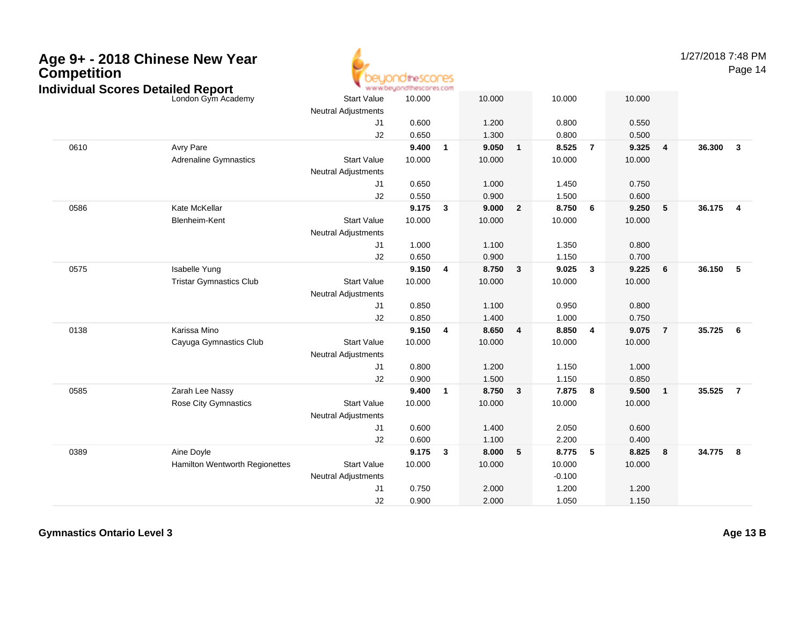| Age 9+ - 2018 Chinese New Year<br><b>Competition</b><br><b>Individual Scores Detailed Report</b> |                                |                            | <b>IOtheSCOCES</b><br>www.beyondthescores.com |                         |        |                |          |                         |        |                | 1/27/2018 7:48 PM | Page 14                 |
|--------------------------------------------------------------------------------------------------|--------------------------------|----------------------------|-----------------------------------------------|-------------------------|--------|----------------|----------|-------------------------|--------|----------------|-------------------|-------------------------|
|                                                                                                  | London Gym Academy             | <b>Start Value</b>         | 10.000                                        |                         | 10.000 |                | 10.000   |                         | 10.000 |                |                   |                         |
|                                                                                                  |                                | <b>Neutral Adjustments</b> |                                               |                         |        |                |          |                         |        |                |                   |                         |
|                                                                                                  |                                | J <sub>1</sub>             | 0.600                                         |                         | 1.200  |                | 0.800    |                         | 0.550  |                |                   |                         |
|                                                                                                  |                                | J2                         | 0.650                                         |                         | 1.300  |                | 0.800    |                         | 0.500  |                |                   |                         |
| 0610                                                                                             | Avry Pare                      |                            | 9.400                                         | $\overline{1}$          | 9.050  | $\mathbf{1}$   | 8.525    | $\overline{7}$          | 9.325  | $\overline{4}$ | 36.300            | $\overline{\mathbf{3}}$ |
|                                                                                                  | <b>Adrenaline Gymnastics</b>   | <b>Start Value</b>         | 10.000                                        |                         | 10.000 |                | 10.000   |                         | 10.000 |                |                   |                         |
|                                                                                                  |                                | <b>Neutral Adjustments</b> |                                               |                         |        |                |          |                         |        |                |                   |                         |
|                                                                                                  |                                | J1                         | 0.650                                         |                         | 1.000  |                | 1.450    |                         | 0.750  |                |                   |                         |
|                                                                                                  |                                | J2                         | 0.550                                         |                         | 0.900  |                | 1.500    |                         | 0.600  |                |                   |                         |
| 0586                                                                                             | Kate McKellar                  |                            | 9.175                                         | $\mathbf{3}$            | 9.000  | $\overline{2}$ | 8.750    | 6                       | 9.250  | 5              | 36.175            | $\overline{4}$          |
|                                                                                                  | Blenheim-Kent                  | <b>Start Value</b>         | 10.000                                        |                         | 10.000 |                | 10.000   |                         | 10.000 |                |                   |                         |
|                                                                                                  |                                | <b>Neutral Adjustments</b> |                                               |                         |        |                |          |                         |        |                |                   |                         |
|                                                                                                  |                                | J <sub>1</sub>             | 1.000                                         |                         | 1.100  |                | 1.350    |                         | 0.800  |                |                   |                         |
|                                                                                                  |                                | J2                         | 0.650                                         |                         | 0.900  |                | 1.150    |                         | 0.700  |                |                   |                         |
| 0575                                                                                             | Isabelle Yung                  |                            | 9.150                                         | $\overline{4}$          | 8.750  | $\mathbf{3}$   | 9.025    | $\overline{\mathbf{3}}$ | 9.225  | 6              | 36.150            | -5                      |
|                                                                                                  | <b>Tristar Gymnastics Club</b> | <b>Start Value</b>         | 10.000                                        |                         | 10.000 |                | 10.000   |                         | 10.000 |                |                   |                         |
|                                                                                                  |                                | <b>Neutral Adjustments</b> |                                               |                         |        |                |          |                         |        |                |                   |                         |
|                                                                                                  |                                | J <sub>1</sub>             | 0.850                                         |                         | 1.100  |                | 0.950    |                         | 0.800  |                |                   |                         |
|                                                                                                  |                                | J2                         | 0.850                                         |                         | 1.400  |                | 1.000    |                         | 0.750  |                |                   |                         |
| 0138                                                                                             | Karissa Mino                   |                            | 9.150                                         | $\overline{4}$          | 8.650  | $\overline{4}$ | 8.850    | $\overline{4}$          | 9.075  | $\overline{7}$ | 35.725            | 6                       |
|                                                                                                  | Cayuga Gymnastics Club         | <b>Start Value</b>         | 10.000                                        |                         | 10.000 |                | 10.000   |                         | 10.000 |                |                   |                         |
|                                                                                                  |                                | <b>Neutral Adjustments</b> |                                               |                         |        |                |          |                         |        |                |                   |                         |
|                                                                                                  |                                | $\sf J1$                   | 0.800                                         |                         | 1.200  |                | 1.150    |                         | 1.000  |                |                   |                         |
|                                                                                                  |                                | J2                         | 0.900                                         |                         | 1.500  |                | 1.150    |                         | 0.850  |                |                   |                         |
| 0585                                                                                             | Zarah Lee Nassy                |                            | 9.400                                         | $\overline{\mathbf{1}}$ | 8.750  | $\mathbf{3}$   | 7.875    | 8                       | 9.500  | $\mathbf{1}$   | 35.525            | $\overline{7}$          |
|                                                                                                  | <b>Rose City Gymnastics</b>    | <b>Start Value</b>         | 10.000                                        |                         | 10.000 |                | 10.000   |                         | 10.000 |                |                   |                         |
|                                                                                                  |                                | <b>Neutral Adjustments</b> |                                               |                         |        |                |          |                         |        |                |                   |                         |
|                                                                                                  |                                | J <sub>1</sub>             | 0.600                                         |                         | 1.400  |                | 2.050    |                         | 0.600  |                |                   |                         |
|                                                                                                  |                                | J2                         | 0.600                                         |                         | 1.100  |                | 2.200    |                         | 0.400  |                |                   |                         |
| 0389                                                                                             | Aine Doyle                     |                            | 9.175                                         | $\mathbf{3}$            | 8.000  | 5              | 8.775    | 5                       | 8.825  | 8              | 34.775            | - 8                     |
|                                                                                                  | Hamilton Wentworth Regionettes | <b>Start Value</b>         | 10.000                                        |                         | 10.000 |                | 10.000   |                         | 10.000 |                |                   |                         |
|                                                                                                  |                                | <b>Neutral Adjustments</b> |                                               |                         |        |                | $-0.100$ |                         |        |                |                   |                         |
|                                                                                                  |                                | $\sf J1$                   | 0.750                                         |                         | 2.000  |                | 1.200    |                         | 1.200  |                |                   |                         |
|                                                                                                  |                                | J2                         | 0.900                                         |                         | 2.000  |                | 1.050    |                         | 1.150  |                |                   |                         |

### **Gymnastics Ontario Level 3**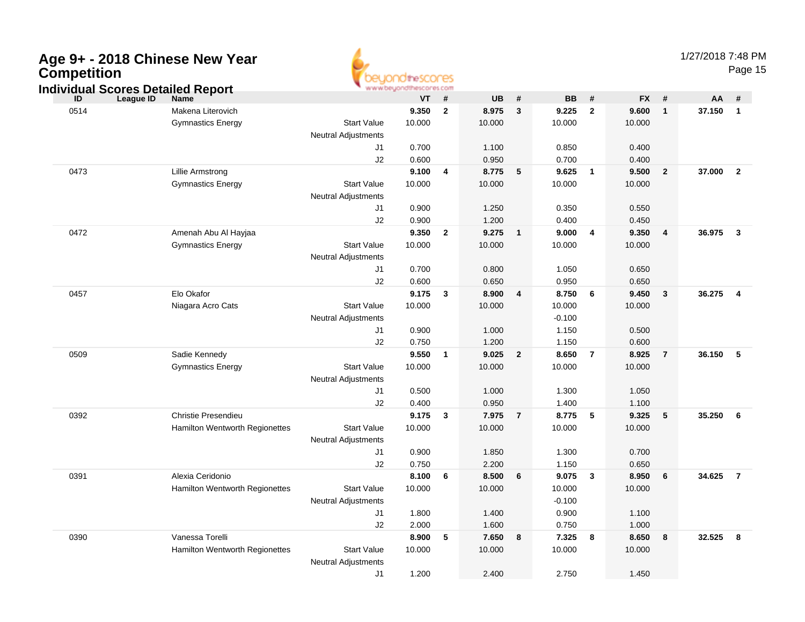| Age 9+ - 2018 Chinese New Year           |  |
|------------------------------------------|--|
| <b>Competition</b>                       |  |
| <b>Individual Scores Detailed Report</b> |  |



|      | ngividual Scores Detailed Report      |                            | as as arrested for invision |                  |           |                |           |                |           |                         |        |                |
|------|---------------------------------------|----------------------------|-----------------------------|------------------|-----------|----------------|-----------|----------------|-----------|-------------------------|--------|----------------|
| ID   | League ID<br><b>Name</b>              |                            | VT                          | #                | <b>UB</b> | #              | <b>BB</b> | #              | <b>FX</b> | #                       | AA     | #              |
| 0514 | Makena Literovich                     |                            | 9.350                       | $\overline{2}$   | 8.975     | $\mathbf{3}$   | 9.225     | $\overline{2}$ | 9.600     | $\overline{\mathbf{1}}$ | 37.150 | $\mathbf{1}$   |
|      | <b>Gymnastics Energy</b>              | <b>Start Value</b>         | 10.000                      |                  | 10.000    |                | 10.000    |                | 10.000    |                         |        |                |
|      |                                       | Neutral Adjustments        |                             |                  |           |                |           |                |           |                         |        |                |
|      |                                       | J1                         | 0.700                       |                  | 1.100     |                | 0.850     |                | 0.400     |                         |        |                |
|      |                                       | J2                         | 0.600                       |                  | 0.950     |                | 0.700     |                | 0.400     |                         |        |                |
| 0473 | Lillie Armstrong                      |                            | 9.100                       | $\overline{4}$   | 8.775     | $\sqrt{5}$     | 9.625     | $\mathbf{1}$   | 9.500     | $\overline{\mathbf{2}}$ | 37.000 | $\overline{2}$ |
|      | <b>Gymnastics Energy</b>              | <b>Start Value</b>         | 10.000                      |                  | 10.000    |                | 10.000    |                | 10.000    |                         |        |                |
|      |                                       | <b>Neutral Adjustments</b> |                             |                  |           |                |           |                |           |                         |        |                |
|      |                                       | J1                         | 0.900                       |                  | 1.250     |                | 0.350     |                | 0.550     |                         |        |                |
|      |                                       | J2                         | 0.900                       |                  | 1.200     |                | 0.400     |                | 0.450     |                         |        |                |
| 0472 | Amenah Abu Al Hayjaa                  |                            | 9.350                       | $\overline{2}$   | 9.275     | $\mathbf{1}$   | 9.000     | 4              | 9.350     | $\overline{4}$          | 36.975 | $\mathbf{3}$   |
|      | <b>Gymnastics Energy</b>              | <b>Start Value</b>         | 10.000                      |                  | 10.000    |                | 10.000    |                | 10.000    |                         |        |                |
|      |                                       | <b>Neutral Adjustments</b> |                             |                  |           |                |           |                |           |                         |        |                |
|      |                                       | J1                         | 0.700                       |                  | 0.800     |                | 1.050     |                | 0.650     |                         |        |                |
|      |                                       | J2                         | 0.600                       |                  | 0.650     |                | 0.950     |                | 0.650     |                         |        |                |
| 0457 | Elo Okafor                            |                            | 9.175                       | $\mathbf{3}$     | 8.900     | 4              | 8.750     | 6              | 9.450     | $\mathbf{3}$            | 36.275 | $\overline{4}$ |
|      | Niagara Acro Cats                     | <b>Start Value</b>         | 10.000                      |                  | 10.000    |                | 10.000    |                | 10.000    |                         |        |                |
|      |                                       | <b>Neutral Adjustments</b> |                             |                  |           |                | $-0.100$  |                |           |                         |        |                |
|      |                                       | J1                         | 0.900                       |                  | 1.000     |                | 1.150     |                | 0.500     |                         |        |                |
|      |                                       | J2                         | 0.750                       |                  | 1.200     |                | 1.150     |                | 0.600     |                         |        |                |
| 0509 | Sadie Kennedy                         |                            | 9.550                       | $\overline{1}$   | 9.025     | $\overline{2}$ | 8.650     | $\overline{7}$ | 8.925     | $\overline{7}$          | 36.150 | 5              |
|      | <b>Gymnastics Energy</b>              | <b>Start Value</b>         | 10.000                      |                  | 10.000    |                | 10.000    |                | 10.000    |                         |        |                |
|      |                                       | Neutral Adjustments        |                             |                  |           |                |           |                |           |                         |        |                |
|      |                                       | J1                         | 0.500                       |                  | 1.000     |                | 1.300     |                | 1.050     |                         |        |                |
|      |                                       | J2                         | 0.400                       |                  | 0.950     |                | 1.400     |                | 1.100     |                         |        |                |
| 0392 | Christie Presendieu                   |                            | 9.175                       | $\boldsymbol{3}$ | 7.975     | $\overline{7}$ | 8.775     | 5              | 9.325     | $5\phantom{1}$          | 35.250 | 6              |
|      | Hamilton Wentworth Regionettes        | <b>Start Value</b>         | 10.000                      |                  | 10.000    |                | 10.000    |                | 10.000    |                         |        |                |
|      |                                       | <b>Neutral Adjustments</b> |                             |                  |           |                |           |                |           |                         |        |                |
|      |                                       | J1                         | 0.900                       |                  | 1.850     |                | 1.300     |                | 0.700     |                         |        |                |
|      |                                       | J2                         | 0.750                       |                  | 2.200     |                | 1.150     |                | 0.650     |                         |        |                |
| 0391 | Alexia Ceridonio                      |                            | 8.100                       | 6                | 8.500     | 6              | 9.075     | $\mathbf{3}$   | 8.950     | 6                       | 34.625 | $\overline{7}$ |
|      | Hamilton Wentworth Regionettes        | <b>Start Value</b>         | 10.000                      |                  | 10.000    |                | 10.000    |                | 10.000    |                         |        |                |
|      |                                       | <b>Neutral Adjustments</b> |                             |                  |           |                | $-0.100$  |                |           |                         |        |                |
|      |                                       | J1                         | 1.800                       |                  | 1.400     |                | 0.900     |                | 1.100     |                         |        |                |
|      |                                       | J2                         | 2.000                       |                  | 1.600     |                | 0.750     |                | 1.000     |                         |        |                |
| 0390 | Vanessa Torelli                       |                            | 8.900                       | 5                | 7.650     | 8              | 7.325     | 8              | 8.650     | 8                       | 32.525 | 8              |
|      | <b>Hamilton Wentworth Regionettes</b> | <b>Start Value</b>         | 10.000                      |                  | 10.000    |                | 10.000    |                | 10.000    |                         |        |                |
|      |                                       | Neutral Adjustments        |                             |                  |           |                |           |                |           |                         |        |                |
|      |                                       | J1                         | 1.200                       |                  | 2.400     |                | 2.750     |                | 1.450     |                         |        |                |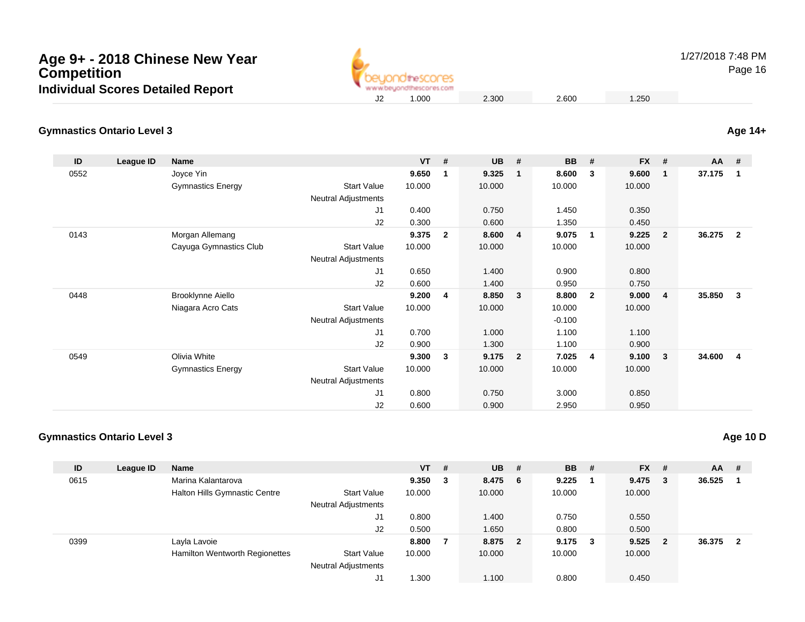| Age 9+ - 2018 Chinese New Year           |
|------------------------------------------|
| <b>Competition</b>                       |
| <b>Individual Scores Detailed Report</b> |



1/27/2018 7:48 PM

Page 16

#### **Gymnastics Ontario Level 3Age 14+**

| ID   | League ID | Name                     |                     | <b>VT</b> | #            | <b>UB</b> | #                       | <b>BB</b> | #              | <b>FX</b> | #              | <b>AA</b> | #              |
|------|-----------|--------------------------|---------------------|-----------|--------------|-----------|-------------------------|-----------|----------------|-----------|----------------|-----------|----------------|
| 0552 |           | Joyce Yin                |                     | 9.650     |              | 9.325     | $\mathbf 1$             | 8.600     | 3              | 9.600     | 1              | 37.175    | 1              |
|      |           | <b>Gymnastics Energy</b> | <b>Start Value</b>  | 10.000    |              | 10.000    |                         | 10.000    |                | 10.000    |                |           |                |
|      |           |                          | Neutral Adjustments |           |              |           |                         |           |                |           |                |           |                |
|      |           |                          | J <sub>1</sub>      | 0.400     |              | 0.750     |                         | 1.450     |                | 0.350     |                |           |                |
|      |           |                          | J2                  | 0.300     |              | 0.600     |                         | 1.350     |                | 0.450     |                |           |                |
| 0143 |           | Morgan Allemang          |                     | 9.375     | $\mathbf{2}$ | 8.600     | $\overline{4}$          | 9.075     | $\mathbf{1}$   | 9.225     | $\overline{2}$ | 36.275    | $\overline{2}$ |
|      |           | Cayuga Gymnastics Club   | <b>Start Value</b>  | 10.000    |              | 10.000    |                         | 10.000    |                | 10.000    |                |           |                |
|      |           |                          | Neutral Adjustments |           |              |           |                         |           |                |           |                |           |                |
|      |           |                          | J <sub>1</sub>      | 0.650     |              | 1.400     |                         | 0.900     |                | 0.800     |                |           |                |
|      |           |                          | J2                  | 0.600     |              | 1.400     |                         | 0.950     |                | 0.750     |                |           |                |
| 0448 |           | Brooklynne Aiello        |                     | 9.200     | 4            | 8.850     | $\overline{\mathbf{3}}$ | 8.800     | $\overline{2}$ | 9.000     | 4              | 35.850    | 3              |
|      |           | Niagara Acro Cats        | <b>Start Value</b>  | 10.000    |              | 10.000    |                         | 10.000    |                | 10.000    |                |           |                |
|      |           |                          | Neutral Adjustments |           |              |           |                         | $-0.100$  |                |           |                |           |                |
|      |           |                          | J <sub>1</sub>      | 0.700     |              | 1.000     |                         | 1.100     |                | 1.100     |                |           |                |
|      |           |                          | J2                  | 0.900     |              | 1.300     |                         | 1.100     |                | 0.900     |                |           |                |
| 0549 |           | Olivia White             |                     | 9.300     | 3            | 9.175     | $\overline{\mathbf{2}}$ | 7.025     | 4              | 9.100     | 3              | 34.600    | 4              |
|      |           | <b>Gymnastics Energy</b> | <b>Start Value</b>  | 10.000    |              | 10.000    |                         | 10.000    |                | 10.000    |                |           |                |
|      |           |                          | Neutral Adjustments |           |              |           |                         |           |                |           |                |           |                |
|      |           |                          | J1                  | 0.800     |              | 0.750     |                         | 3.000     |                | 0.850     |                |           |                |
|      |           |                          | J2                  | 0.600     |              | 0.900     |                         | 2.950     |                | 0.950     |                |           |                |

### **Gymnastics Ontario Level 3**

| ID   | League ID | <b>Name</b>                    |                            | $VT$ # |   | <b>UB</b> # | <b>BB</b>       | # | <b>FX</b> | -#  | <b>AA</b> | #  |
|------|-----------|--------------------------------|----------------------------|--------|---|-------------|-----------------|---|-----------|-----|-----------|----|
| 0615 |           | Marina Kalantarova             |                            | 9.350  | 3 | 8.475 6     | 9.225           |   | 9.475     | - 3 | 36.525    |    |
|      |           | Halton Hills Gymnastic Centre  | <b>Start Value</b>         | 10.000 |   | 10.000      | 10.000          |   | 10.000    |     |           |    |
|      |           |                                | <b>Neutral Adjustments</b> |        |   |             |                 |   |           |     |           |    |
|      |           |                                | J1                         | 0.800  |   | 1.400       | 0.750           |   | 0.550     |     |           |    |
|      |           |                                | J2                         | 0.500  |   | 1.650       | 0.800           |   | 0.500     |     |           |    |
| 0399 |           | Layla Lavoie                   |                            | 8.800  |   | 8.875 2     | $9.175 \quad 3$ |   | 9.525     | - 2 | 36.375    | -2 |
|      |           | Hamilton Wentworth Regionettes | <b>Start Value</b>         | 10.000 |   | 10.000      | 10.000          |   | 10.000    |     |           |    |
|      |           |                                | <b>Neutral Adjustments</b> |        |   |             |                 |   |           |     |           |    |
|      |           |                                | J1                         | .300   |   | 1.100       | 0.800           |   | 0.450     |     |           |    |

**Age 10 D**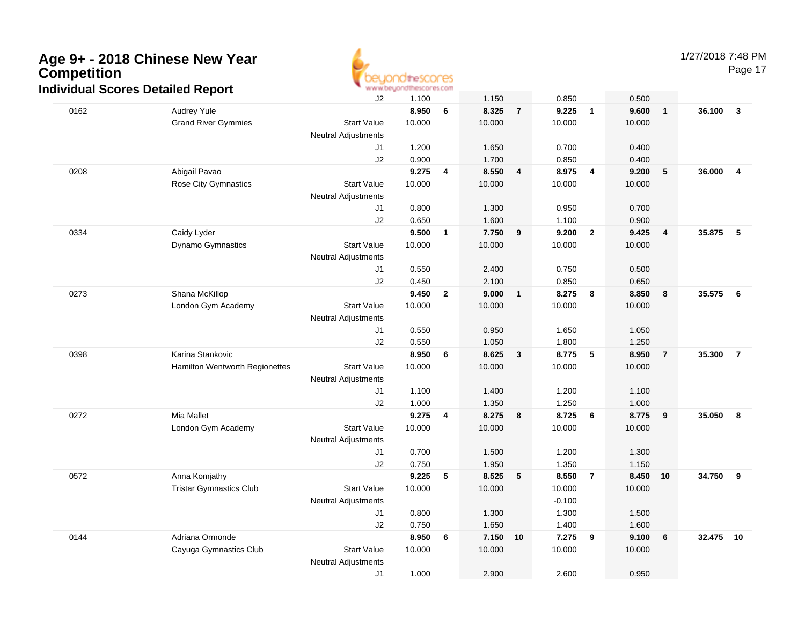

1/27/2018 7:48 PM

|      | idividual Ocorcs Dotalicu Report | J2                         | 1.100  |              | 1.150  |                | 0.850    |                         | 0.500    |                         |          |                |
|------|----------------------------------|----------------------------|--------|--------------|--------|----------------|----------|-------------------------|----------|-------------------------|----------|----------------|
| 0162 | <b>Audrey Yule</b>               |                            | 8.950  | 6            | 8.325  | $\overline{7}$ | 9.225    | $\mathbf{1}$            | 9.600    | $\overline{\mathbf{1}}$ | 36.100   | $\mathbf{3}$   |
|      | <b>Grand River Gymmies</b>       | <b>Start Value</b>         | 10.000 |              | 10.000 |                | 10.000   |                         | 10.000   |                         |          |                |
|      |                                  | <b>Neutral Adjustments</b> |        |              |        |                |          |                         |          |                         |          |                |
|      |                                  | J1                         | 1.200  |              | 1.650  |                | 0.700    |                         | 0.400    |                         |          |                |
|      |                                  | J2                         | 0.900  |              | 1.700  |                | 0.850    |                         | 0.400    |                         |          |                |
| 0208 | Abigail Pavao                    |                            | 9.275  | 4            | 8.550  | 4              | 8.975    | $\overline{\mathbf{4}}$ | 9.200    | 5                       | 36.000   | $\overline{4}$ |
|      | <b>Rose City Gymnastics</b>      | <b>Start Value</b>         | 10.000 |              | 10.000 |                | 10.000   |                         | 10.000   |                         |          |                |
|      |                                  | <b>Neutral Adjustments</b> |        |              |        |                |          |                         |          |                         |          |                |
|      |                                  | J1                         | 0.800  |              | 1.300  |                | 0.950    |                         | 0.700    |                         |          |                |
|      |                                  | J2                         | 0.650  |              | 1.600  |                | 1.100    |                         | 0.900    |                         |          |                |
| 0334 | Caidy Lyder                      |                            | 9.500  | $\mathbf{1}$ | 7.750  | 9              | 9.200    | $\mathbf{2}$            | 9.425    | $\overline{4}$          | 35.875   | 5              |
|      | Dynamo Gymnastics                | <b>Start Value</b>         | 10.000 |              | 10.000 |                | 10.000   |                         | 10.000   |                         |          |                |
|      |                                  | <b>Neutral Adjustments</b> |        |              |        |                |          |                         |          |                         |          |                |
|      |                                  | J1                         | 0.550  |              | 2.400  |                | 0.750    |                         | 0.500    |                         |          |                |
|      |                                  | J2                         | 0.450  |              | 2.100  |                | 0.850    |                         | 0.650    |                         |          |                |
| 0273 | Shana McKillop                   |                            | 9.450  | $\mathbf{2}$ | 9.000  | $\mathbf{1}$   | 8.275    | 8                       | 8.850    | 8                       | 35.575   | 6              |
|      | London Gym Academy               | <b>Start Value</b>         | 10.000 |              | 10.000 |                | 10.000   |                         | 10.000   |                         |          |                |
|      |                                  | <b>Neutral Adjustments</b> |        |              |        |                |          |                         |          |                         |          |                |
|      |                                  | J1                         | 0.550  |              | 0.950  |                | 1.650    |                         | 1.050    |                         |          |                |
|      |                                  | J2                         | 0.550  |              | 1.050  |                | 1.800    |                         | 1.250    |                         |          |                |
| 0398 | Karina Stankovic                 |                            | 8.950  | 6            | 8.625  | 3              | 8.775    | 5                       | 8.950    | $\overline{7}$          | 35.300   | $\overline{7}$ |
|      | Hamilton Wentworth Regionettes   | <b>Start Value</b>         | 10.000 |              | 10.000 |                | 10.000   |                         | 10.000   |                         |          |                |
|      |                                  | <b>Neutral Adjustments</b> |        |              |        |                |          |                         |          |                         |          |                |
|      |                                  | J1                         | 1.100  |              | 1.400  |                | 1.200    |                         | 1.100    |                         |          |                |
|      |                                  | J2                         | 1.000  |              | 1.350  |                | 1.250    |                         | 1.000    |                         |          |                |
| 0272 | Mia Mallet                       |                            | 9.275  | 4            | 8.275  | 8              | 8.725    | 6                       | 8.775    | 9                       | 35.050   | 8              |
|      | London Gym Academy               | <b>Start Value</b>         | 10.000 |              | 10.000 |                | 10.000   |                         | 10.000   |                         |          |                |
|      |                                  | <b>Neutral Adjustments</b> |        |              |        |                |          |                         |          |                         |          |                |
|      |                                  | J1                         | 0.700  |              | 1.500  |                | 1.200    |                         | 1.300    |                         |          |                |
|      |                                  | J2                         | 0.750  |              | 1.950  |                | 1.350    |                         | 1.150    |                         |          |                |
| 0572 | Anna Komjathy                    |                            | 9.225  | 5            | 8.525  | 5              | 8.550    | $\overline{7}$          | 8.450 10 |                         | 34.750 9 |                |
|      | <b>Tristar Gymnastics Club</b>   | <b>Start Value</b>         | 10.000 |              | 10.000 |                | 10.000   |                         | 10.000   |                         |          |                |
|      |                                  | <b>Neutral Adjustments</b> |        |              |        |                | $-0.100$ |                         |          |                         |          |                |
|      |                                  | J1                         | 0.800  |              | 1.300  |                | 1.300    |                         | 1.500    |                         |          |                |
|      |                                  | J2                         | 0.750  |              | 1.650  |                | 1.400    |                         | 1.600    |                         |          |                |
| 0144 | Adriana Ormonde                  |                            | 8.950  | 6            | 7.150  | 10             | 7.275    | 9                       | 9.100    | 6                       | 32.475   | 10             |
|      | Cayuga Gymnastics Club           | <b>Start Value</b>         | 10.000 |              | 10.000 |                | 10.000   |                         | 10.000   |                         |          |                |
|      |                                  | <b>Neutral Adjustments</b> |        |              |        |                |          |                         |          |                         |          |                |
|      |                                  | J1                         | 1.000  |              | 2.900  |                | 2.600    |                         | 0.950    |                         |          |                |